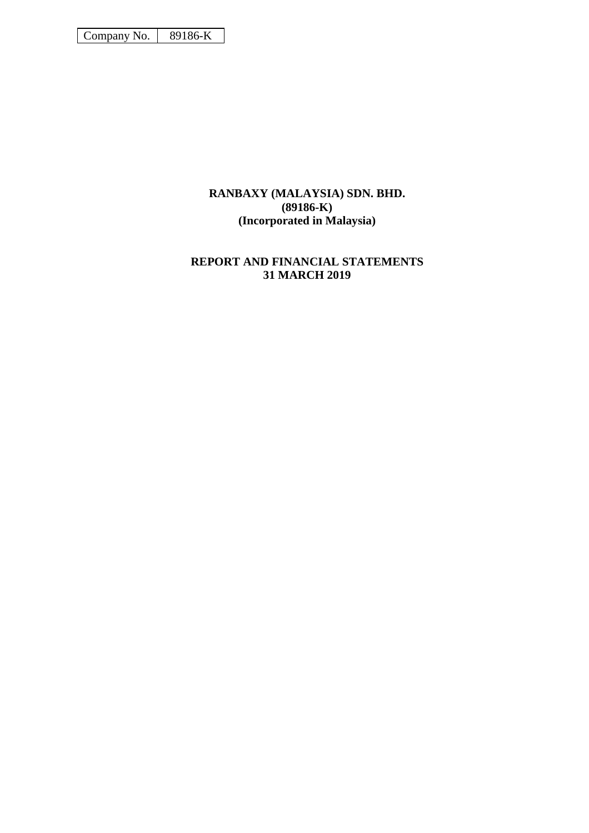## **REPORT AND FINANCIAL STATEMENTS 31 MARCH 2019**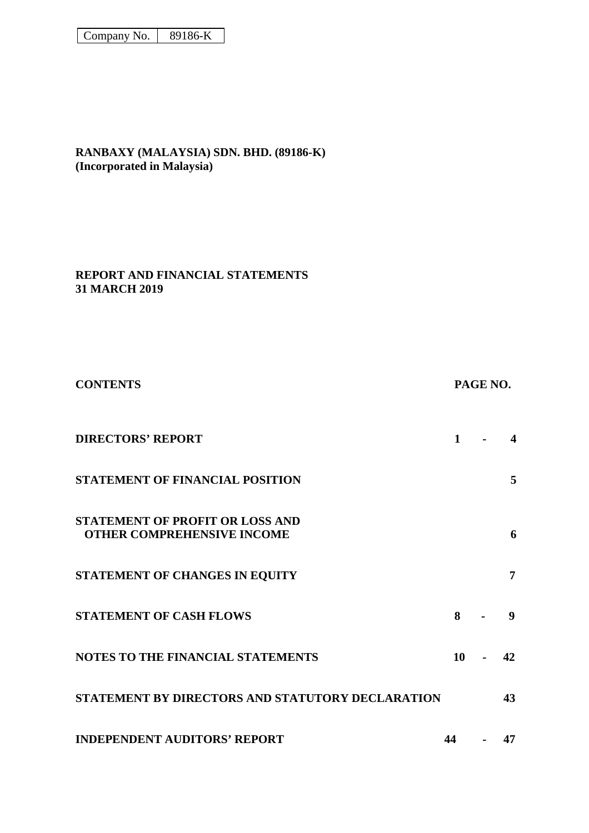# **REPORT AND FINANCIAL STATEMENTS 31 MARCH 2019**

| <b>CONTENTS</b>                                                             |              | PAGE NO. |                  |  |  |
|-----------------------------------------------------------------------------|--------------|----------|------------------|--|--|
| <b>DIRECTORS' REPORT</b>                                                    | $\mathbf{1}$ |          | $\blacktriangle$ |  |  |
| <b>STATEMENT OF FINANCIAL POSITION</b>                                      |              |          | 5                |  |  |
| <b>STATEMENT OF PROFIT OR LOSS AND</b><br><b>OTHER COMPREHENSIVE INCOME</b> |              |          | 6                |  |  |
| STATEMENT OF CHANGES IN EQUITY                                              |              |          | 7                |  |  |
| <b>STATEMENT OF CASH FLOWS</b>                                              | 8            |          | 9                |  |  |
| <b>NOTES TO THE FINANCIAL STATEMENTS</b>                                    | 10           |          | 42               |  |  |
| STATEMENT BY DIRECTORS AND STATUTORY DECLARATION                            |              |          | 43               |  |  |
| <b>INDEPENDENT AUDITORS' REPORT</b>                                         | 44           |          | 47               |  |  |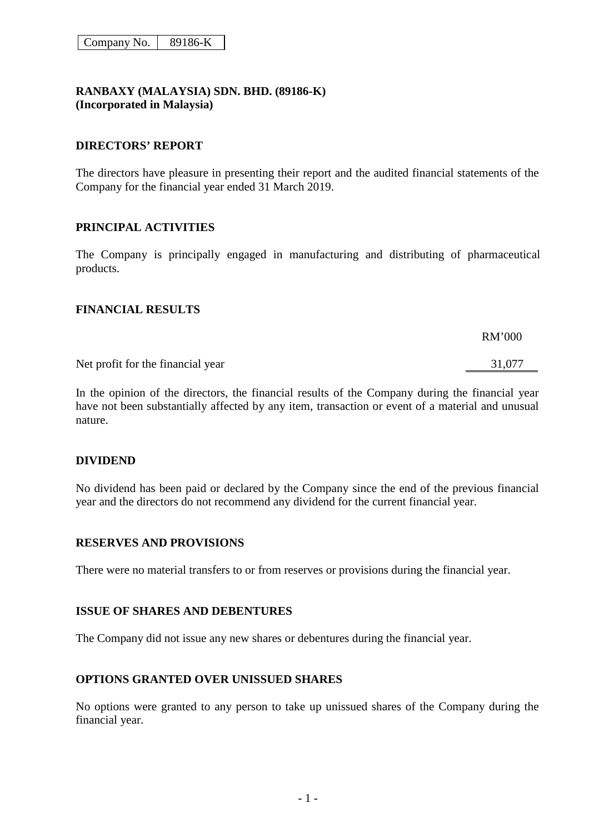### **DIRECTORS' REPORT**

The directors have pleasure in presenting their report and the audited financial statements of the Company for the financial year ended 31 March 2019.

### **PRINCIPAL ACTIVITIES**

The Company is principally engaged in manufacturing and distributing of pharmaceutical products.

### **FINANCIAL RESULTS**

|                                   | RM'000 |
|-----------------------------------|--------|
| Net profit for the financial year | 31,077 |

In the opinion of the directors, the financial results of the Company during the financial year have not been substantially affected by any item, transaction or event of a material and unusual nature.

### **DIVIDEND**

No dividend has been paid or declared by the Company since the end of the previous financial year and the directors do not recommend any dividend for the current financial year.

### **RESERVES AND PROVISIONS**

There were no material transfers to or from reserves or provisions during the financial year.

### **ISSUE OF SHARES AND DEBENTURES**

The Company did not issue any new shares or debentures during the financial year.

### **OPTIONS GRANTED OVER UNISSUED SHARES**

No options were granted to any person to take up unissued shares of the Company during the financial year.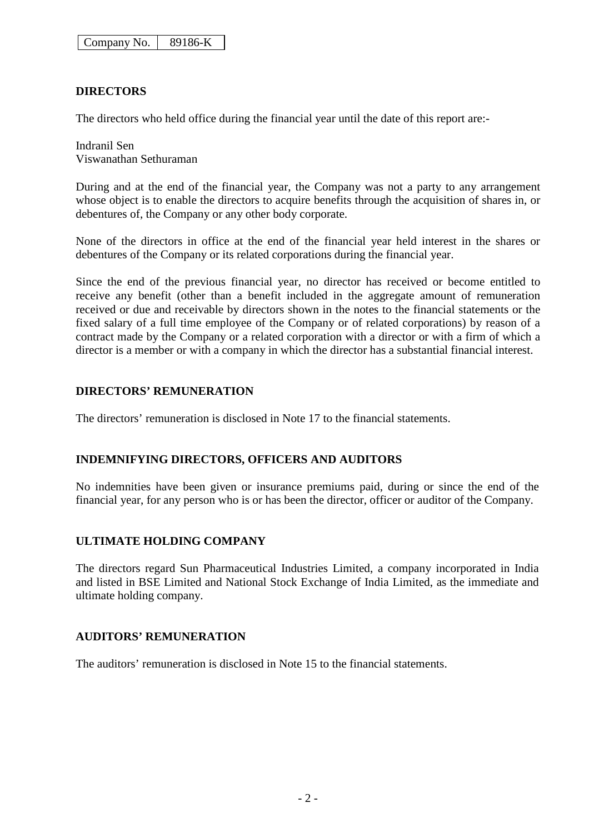### **DIRECTORS**

The directors who held office during the financial year until the date of this report are:-

Indranil Sen Viswanathan Sethuraman

During and at the end of the financial year, the Company was not a party to any arrangement whose object is to enable the directors to acquire benefits through the acquisition of shares in, or debentures of, the Company or any other body corporate.

None of the directors in office at the end of the financial year held interest in the shares or debentures of the Company or its related corporations during the financial year.

Since the end of the previous financial year, no director has received or become entitled to receive any benefit (other than a benefit included in the aggregate amount of remuneration received or due and receivable by directors shown in the notes to the financial statements or the fixed salary of a full time employee of the Company or of related corporations) by reason of a contract made by the Company or a related corporation with a director or with a firm of which a director is a member or with a company in which the director has a substantial financial interest.

### **DIRECTORS' REMUNERATION**

The directors' remuneration is disclosed in Note 17 to the financial statements.

### **INDEMNIFYING DIRECTORS, OFFICERS AND AUDITORS**

No indemnities have been given or insurance premiums paid, during or since the end of the financial year, for any person who is or has been the director, officer or auditor of the Company.

## **ULTIMATE HOLDING COMPANY**

The directors regard Sun Pharmaceutical Industries Limited, a company incorporated in India and listed in BSE Limited and National Stock Exchange of India Limited, as the immediate and ultimate holding company.

## **AUDITORS' REMUNERATION**

The auditors' remuneration is disclosed in Note 15 to the financial statements.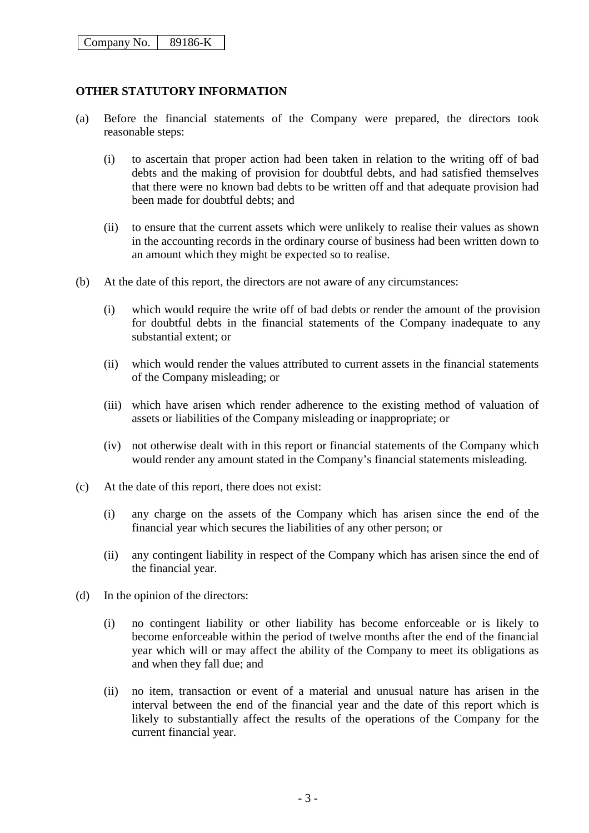### **OTHER STATUTORY INFORMATION**

- (a) Before the financial statements of the Company were prepared, the directors took reasonable steps:
	- (i) to ascertain that proper action had been taken in relation to the writing off of bad debts and the making of provision for doubtful debts, and had satisfied themselves that there were no known bad debts to be written off and that adequate provision had been made for doubtful debts; and
	- (ii) to ensure that the current assets which were unlikely to realise their values as shown in the accounting records in the ordinary course of business had been written down to an amount which they might be expected so to realise.
- (b) At the date of this report, the directors are not aware of any circumstances:
	- (i) which would require the write off of bad debts or render the amount of the provision for doubtful debts in the financial statements of the Company inadequate to any substantial extent; or
	- (ii) which would render the values attributed to current assets in the financial statements of the Company misleading; or
	- (iii) which have arisen which render adherence to the existing method of valuation of assets or liabilities of the Company misleading or inappropriate; or
	- (iv) not otherwise dealt with in this report or financial statements of the Company which would render any amount stated in the Company's financial statements misleading.
- (c) At the date of this report, there does not exist:
	- (i) any charge on the assets of the Company which has arisen since the end of the financial year which secures the liabilities of any other person; or
	- (ii) any contingent liability in respect of the Company which has arisen since the end of the financial year.
- (d) In the opinion of the directors:
	- (i) no contingent liability or other liability has become enforceable or is likely to become enforceable within the period of twelve months after the end of the financial year which will or may affect the ability of the Company to meet its obligations as and when they fall due; and
	- (ii) no item, transaction or event of a material and unusual nature has arisen in the interval between the end of the financial year and the date of this report which is likely to substantially affect the results of the operations of the Company for the current financial year.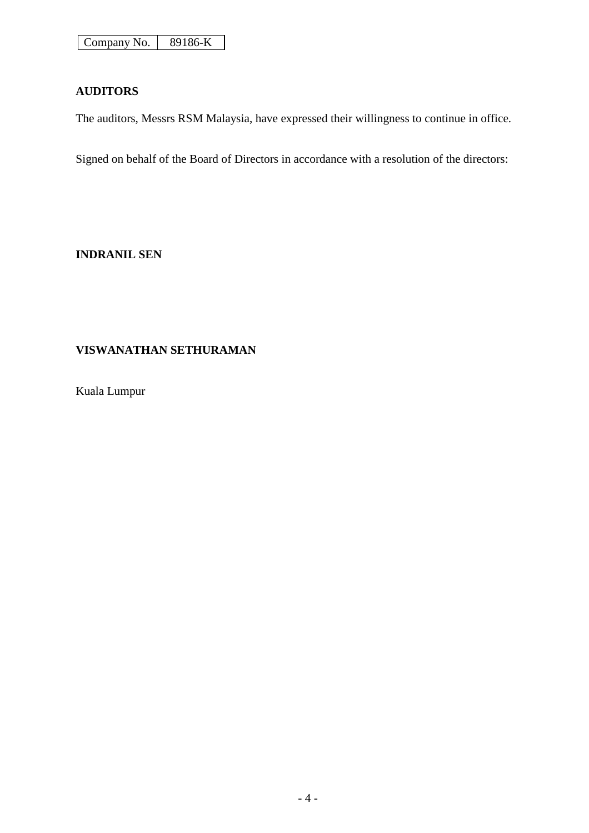# **AUDITORS**

The auditors, Messrs RSM Malaysia, have expressed their willingness to continue in office.

Signed on behalf of the Board of Directors in accordance with a resolution of the directors:

**INDRANIL SEN** 

# **VISWANATHAN SETHURAMAN**

Kuala Lumpur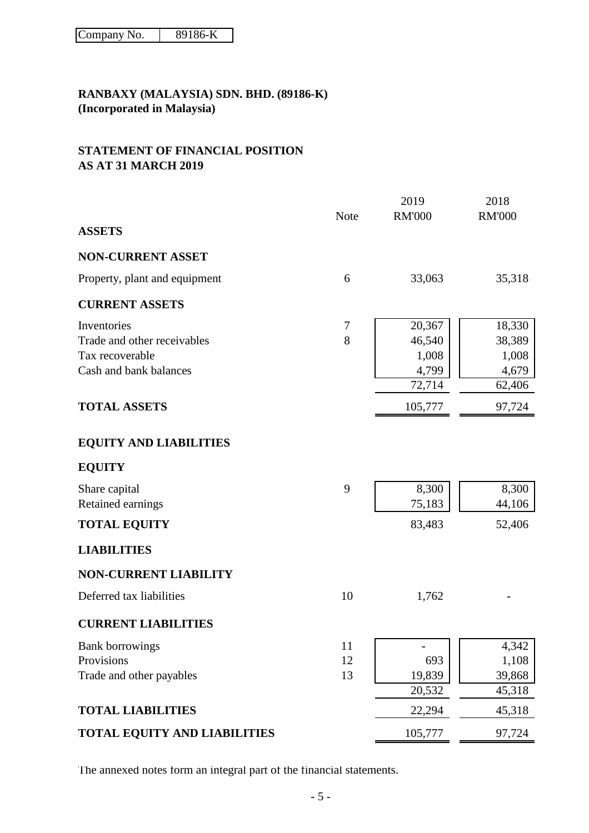| Company No. | 89186-K |
|-------------|---------|
|-------------|---------|

# **STATEMENT OF FINANCIAL POSITION AS AT 31 MARCH 2019**

|                                                                                                                | <b>Note</b>    | 2019<br><b>RM'000</b>                                   | 2018<br><b>RM'000</b>                                  |
|----------------------------------------------------------------------------------------------------------------|----------------|---------------------------------------------------------|--------------------------------------------------------|
| <b>ASSETS</b>                                                                                                  |                |                                                         |                                                        |
| <b>NON-CURRENT ASSET</b>                                                                                       |                |                                                         |                                                        |
| Property, plant and equipment                                                                                  | 6              | 33,063                                                  | 35,318                                                 |
| <b>CURRENT ASSETS</b>                                                                                          |                |                                                         |                                                        |
| Inventories<br>Trade and other receivables<br>Tax recoverable<br>Cash and bank balances<br><b>TOTAL ASSETS</b> | 7<br>8         | 20,367<br>46,540<br>1,008<br>4,799<br>72,714<br>105,777 | 18,330<br>38,389<br>1,008<br>4,679<br>62,406<br>97,724 |
| <b>EQUITY AND LIABILITIES</b>                                                                                  |                |                                                         |                                                        |
| <b>EQUITY</b>                                                                                                  |                |                                                         |                                                        |
| Share capital<br>Retained earnings                                                                             | 9              | 8,300<br>75,183                                         | 8,300<br>44,106                                        |
| <b>TOTAL EQUITY</b>                                                                                            |                | 83,483                                                  | 52,406                                                 |
| <b>LIABILITIES</b>                                                                                             |                |                                                         |                                                        |
| <b>NON-CURRENT LIABILITY</b>                                                                                   |                |                                                         |                                                        |
| Deferred tax liabilities                                                                                       | 10             | 1,762                                                   |                                                        |
| <b>CURRENT LIABILITIES</b>                                                                                     |                |                                                         |                                                        |
| <b>Bank borrowings</b><br>Provisions<br>Trade and other payables                                               | 11<br>12<br>13 | 693<br>19,839<br>20,532                                 | 4,342<br>1,108<br>39,868<br>45,318                     |
| <b>TOTAL LIABILITIES</b>                                                                                       |                | 22,294                                                  | 45,318                                                 |
| <b>TOTAL EQUITY AND LIABILITIES</b>                                                                            |                | 105,777                                                 | 97,724                                                 |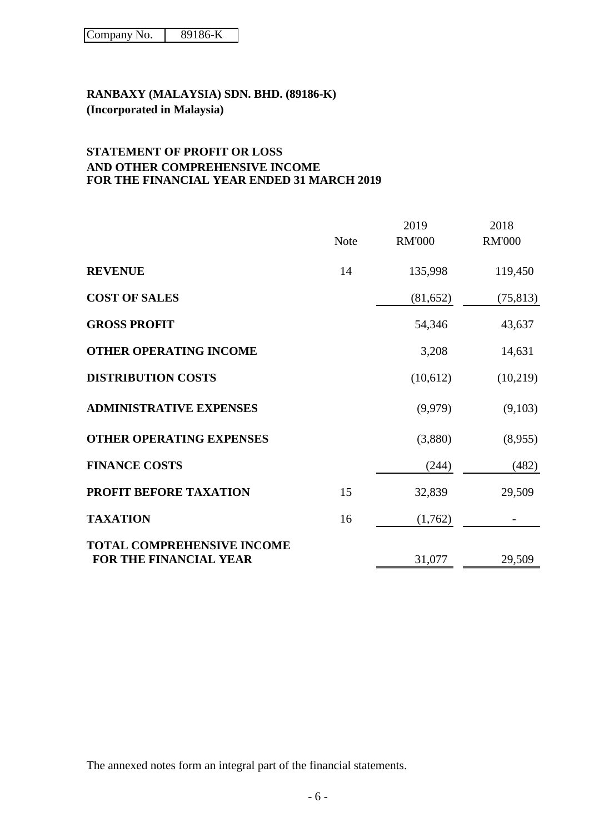# **STATEMENT OF PROFIT OR LOSS AND OTHER COMPREHENSIVE INCOME FOR THE FINANCIAL YEAR ENDED 31 MARCH 2019**

|                                                                    |             | 2019          | 2018          |
|--------------------------------------------------------------------|-------------|---------------|---------------|
|                                                                    | <b>Note</b> | <b>RM'000</b> | <b>RM'000</b> |
| <b>REVENUE</b>                                                     | 14          | 135,998       | 119,450       |
| <b>COST OF SALES</b>                                               |             | (81,652)      | (75, 813)     |
| <b>GROSS PROFIT</b>                                                |             | 54,346        | 43,637        |
| <b>OTHER OPERATING INCOME</b>                                      |             | 3,208         | 14,631        |
| <b>DISTRIBUTION COSTS</b>                                          |             | (10,612)      | (10,219)      |
| <b>ADMINISTRATIVE EXPENSES</b>                                     |             | (9,979)       | (9,103)       |
| <b>OTHER OPERATING EXPENSES</b>                                    |             | (3,880)       | (8,955)       |
| <b>FINANCE COSTS</b>                                               |             | (244)         | (482)         |
| <b>PROFIT BEFORE TAXATION</b>                                      | 15          | 32,839        | 29,509        |
| <b>TAXATION</b>                                                    | 16          | (1,762)       |               |
| <b>TOTAL COMPREHENSIVE INCOME</b><br><b>FOR THE FINANCIAL YEAR</b> |             | 31,077        | 29,509        |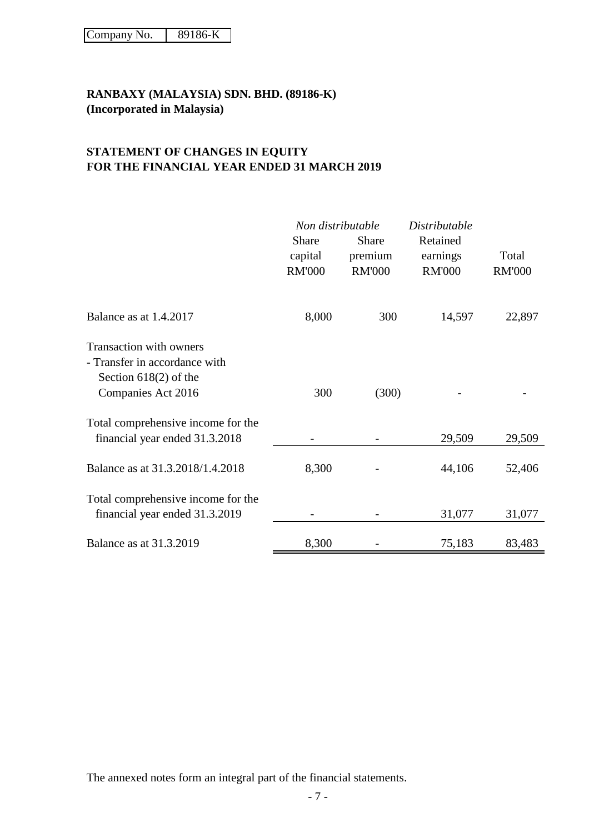# **STATEMENT OF CHANGES IN EQUITY FOR THE FINANCIAL YEAR ENDED 31 MARCH 2019**

|                                    | Non distributable |               | Distributable |               |
|------------------------------------|-------------------|---------------|---------------|---------------|
|                                    | <b>Share</b>      | Share         | Retained      |               |
|                                    | capital           | premium       | earnings      | Total         |
|                                    | <b>RM'000</b>     | <b>RM'000</b> | <b>RM'000</b> | <b>RM'000</b> |
| Balance as at 1.4.2017             | 8,000             | 300           | 14,597        | 22,897        |
| <b>Transaction with owners</b>     |                   |               |               |               |
| - Transfer in accordance with      |                   |               |               |               |
| Section $618(2)$ of the            |                   |               |               |               |
| Companies Act 2016                 | 300               | (300)         |               |               |
| Total comprehensive income for the |                   |               |               |               |
| financial year ended 31.3.2018     |                   |               | 29,509        | 29,509        |
| Balance as at 31.3.2018/1.4.2018   | 8,300             |               | 44,106        | 52,406        |
|                                    |                   |               |               |               |
| Total comprehensive income for the |                   |               |               |               |
| financial year ended 31.3.2019     |                   |               | 31,077        | 31,077        |
|                                    |                   |               |               |               |
| <b>Balance as at 31.3.2019</b>     | 8,300             |               | 75,183        | 83,483        |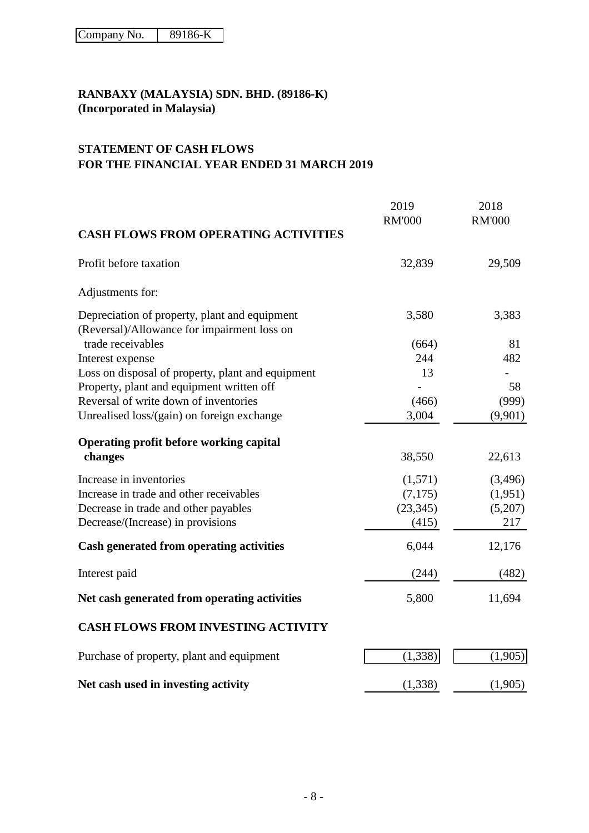# **STATEMENT OF CASH FLOWS FOR THE FINANCIAL YEAR ENDED 31 MARCH 2019**

|                                                   | 2019<br><b>RM'000</b> | 2018<br><b>RM'000</b> |
|---------------------------------------------------|-----------------------|-----------------------|
| <b>CASH FLOWS FROM OPERATING ACTIVITIES</b>       |                       |                       |
| Profit before taxation                            | 32,839                | 29,509                |
| Adjustments for:                                  |                       |                       |
| Depreciation of property, plant and equipment     | 3,580                 | 3,383                 |
| (Reversal)/Allowance for impairment loss on       |                       |                       |
| trade receivables                                 | (664)                 | 81                    |
| Interest expense                                  | 244                   | 482                   |
| Loss on disposal of property, plant and equipment | 13                    |                       |
| Property, plant and equipment written off         |                       | 58                    |
| Reversal of write down of inventories             | (466)                 | (999)                 |
| Unrealised loss/(gain) on foreign exchange        | 3,004                 | (9,901)               |
| <b>Operating profit before working capital</b>    |                       |                       |
| changes                                           | 38,550                | 22,613                |
| Increase in inventories                           | (1,571)               | (3,496)               |
| Increase in trade and other receivables           | (7,175)               | (1,951)               |
| Decrease in trade and other payables              | (23, 345)             | (5,207)               |
| Decrease/(Increase) in provisions                 | (415)                 | 217                   |
| Cash generated from operating activities          | 6,044                 | 12,176                |
| Interest paid                                     | (244)                 | (482)                 |
| Net cash generated from operating activities      | 5,800                 | 11,694                |
| <b>CASH FLOWS FROM INVESTING ACTIVITY</b>         |                       |                       |
| Purchase of property, plant and equipment         | (1, 338)              | (1,905)               |
| Net cash used in investing activity               | (1,338)               | (1,905)               |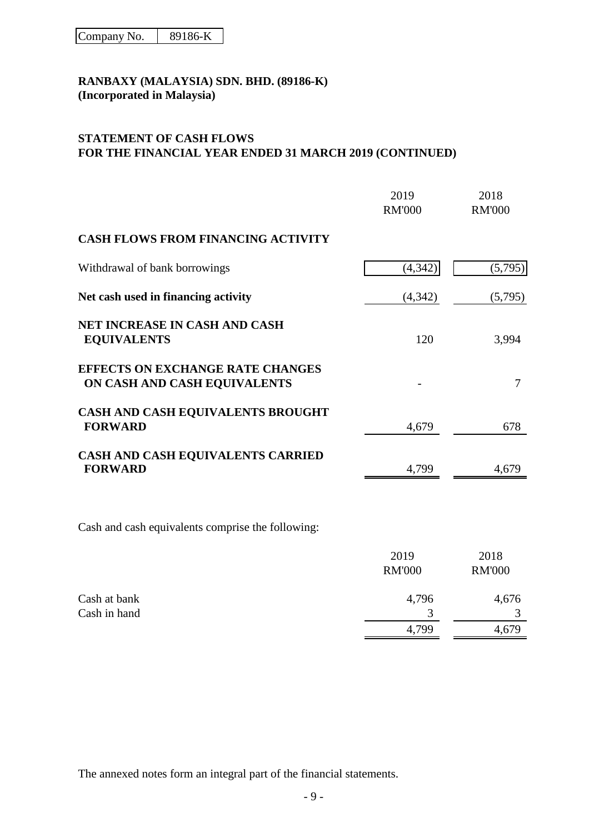# **STATEMENT OF CASH FLOWS FOR THE FINANCIAL YEAR ENDED 31 MARCH 2019 (CONTINUED)**

| (4, 342)<br>(4,342)<br>120 | (5,795)<br>(5,795)<br>3,994 |
|----------------------------|-----------------------------|
|                            |                             |
|                            |                             |
|                            |                             |
|                            |                             |
|                            | $\overline{7}$              |
| 4,679                      | 678                         |
| 4,799                      | 4,679                       |
|                            |                             |
| 2019<br><b>RM'000</b>      | 2018<br><b>RM'000</b>       |
| 4,796<br>3<br>4,799        | 4,676<br>3<br>4,679         |
|                            |                             |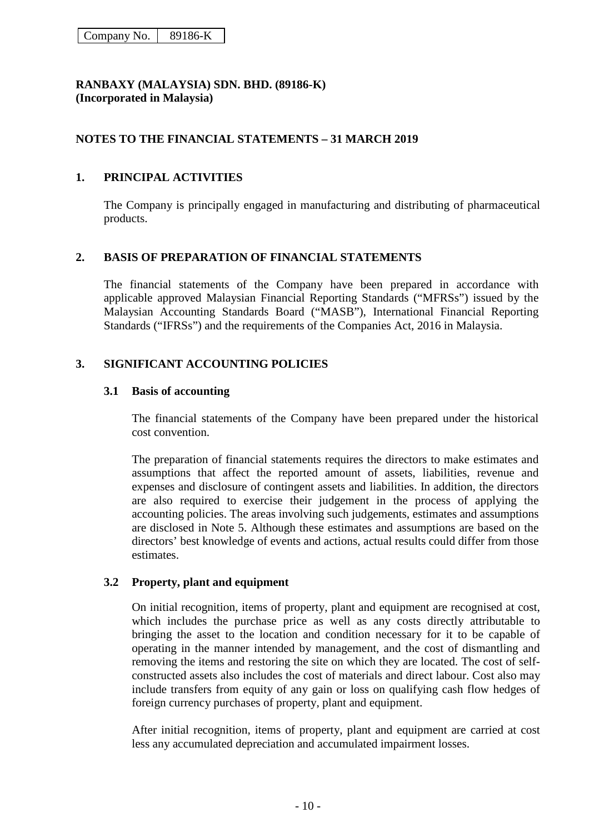## **NOTES TO THE FINANCIAL STATEMENTS – 31 MARCH 2019**

### **1. PRINCIPAL ACTIVITIES**

The Company is principally engaged in manufacturing and distributing of pharmaceutical products.

### **2. BASIS OF PREPARATION OF FINANCIAL STATEMENTS**

The financial statements of the Company have been prepared in accordance with applicable approved Malaysian Financial Reporting Standards ("MFRSs") issued by the Malaysian Accounting Standards Board ("MASB"), International Financial Reporting Standards ("IFRSs") and the requirements of the Companies Act, 2016 in Malaysia.

### **3. SIGNIFICANT ACCOUNTING POLICIES**

### **3.1 Basis of accounting**

The financial statements of the Company have been prepared under the historical cost convention.

The preparation of financial statements requires the directors to make estimates and assumptions that affect the reported amount of assets, liabilities, revenue and expenses and disclosure of contingent assets and liabilities. In addition, the directors are also required to exercise their judgement in the process of applying the accounting policies. The areas involving such judgements, estimates and assumptions are disclosed in Note 5. Although these estimates and assumptions are based on the directors' best knowledge of events and actions, actual results could differ from those estimates.

### **3.2 Property, plant and equipment**

On initial recognition, items of property, plant and equipment are recognised at cost, which includes the purchase price as well as any costs directly attributable to bringing the asset to the location and condition necessary for it to be capable of operating in the manner intended by management, and the cost of dismantling and removing the items and restoring the site on which they are located. The cost of selfconstructed assets also includes the cost of materials and direct labour. Cost also may include transfers from equity of any gain or loss on qualifying cash flow hedges of foreign currency purchases of property, plant and equipment.

After initial recognition, items of property, plant and equipment are carried at cost less any accumulated depreciation and accumulated impairment losses.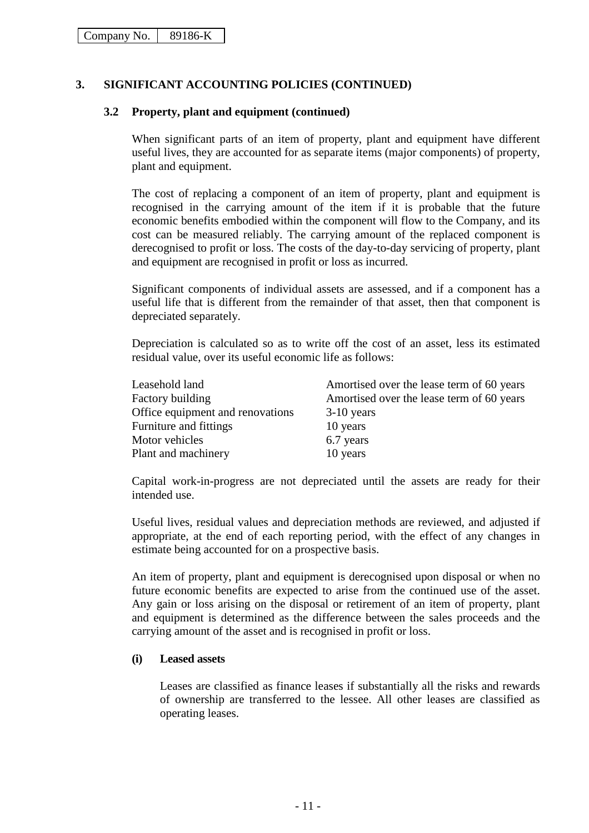### **3. SIGNIFICANT ACCOUNTING POLICIES (CONTINUED)**

### **3.2 Property, plant and equipment (continued)**

When significant parts of an item of property, plant and equipment have different useful lives, they are accounted for as separate items (major components) of property, plant and equipment.

The cost of replacing a component of an item of property, plant and equipment is recognised in the carrying amount of the item if it is probable that the future economic benefits embodied within the component will flow to the Company, and its cost can be measured reliably. The carrying amount of the replaced component is derecognised to profit or loss. The costs of the day-to-day servicing of property, plant and equipment are recognised in profit or loss as incurred.

Significant components of individual assets are assessed, and if a component has a useful life that is different from the remainder of that asset, then that component is depreciated separately.

Depreciation is calculated so as to write off the cost of an asset, less its estimated residual value, over its useful economic life as follows:

| Leasehold land                   | Amortised over the lease term of 60 years |
|----------------------------------|-------------------------------------------|
| Factory building                 | Amortised over the lease term of 60 years |
| Office equipment and renovations | $3-10$ years                              |
| Furniture and fittings           | 10 years                                  |
| Motor vehicles                   | 6.7 years                                 |
| Plant and machinery              | 10 years                                  |

Capital work-in-progress are not depreciated until the assets are ready for their intended use.

Useful lives, residual values and depreciation methods are reviewed, and adjusted if appropriate, at the end of each reporting period, with the effect of any changes in estimate being accounted for on a prospective basis.

An item of property, plant and equipment is derecognised upon disposal or when no future economic benefits are expected to arise from the continued use of the asset. Any gain or loss arising on the disposal or retirement of an item of property, plant and equipment is determined as the difference between the sales proceeds and the carrying amount of the asset and is recognised in profit or loss.

### **(i) Leased assets**

Leases are classified as finance leases if substantially all the risks and rewards of ownership are transferred to the lessee. All other leases are classified as operating leases.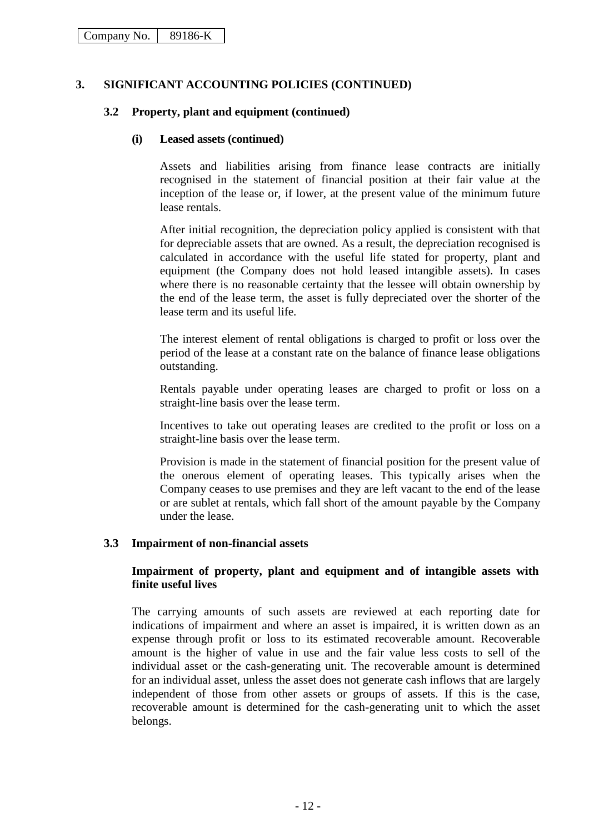### **3. SIGNIFICANT ACCOUNTING POLICIES (CONTINUED)**

### **3.2 Property, plant and equipment (continued)**

### **(i) Leased assets (continued)**

Assets and liabilities arising from finance lease contracts are initially recognised in the statement of financial position at their fair value at the inception of the lease or, if lower, at the present value of the minimum future lease rentals.

After initial recognition, the depreciation policy applied is consistent with that for depreciable assets that are owned. As a result, the depreciation recognised is calculated in accordance with the useful life stated for property, plant and equipment (the Company does not hold leased intangible assets). In cases where there is no reasonable certainty that the lessee will obtain ownership by the end of the lease term, the asset is fully depreciated over the shorter of the lease term and its useful life.

The interest element of rental obligations is charged to profit or loss over the period of the lease at a constant rate on the balance of finance lease obligations outstanding.

Rentals payable under operating leases are charged to profit or loss on a straight-line basis over the lease term.

Incentives to take out operating leases are credited to the profit or loss on a straight-line basis over the lease term.

Provision is made in the statement of financial position for the present value of the onerous element of operating leases. This typically arises when the Company ceases to use premises and they are left vacant to the end of the lease or are sublet at rentals, which fall short of the amount payable by the Company under the lease.

### **3.3 Impairment of non-financial assets**

### **Impairment of property, plant and equipment and of intangible assets with finite useful lives**

The carrying amounts of such assets are reviewed at each reporting date for indications of impairment and where an asset is impaired, it is written down as an expense through profit or loss to its estimated recoverable amount. Recoverable amount is the higher of value in use and the fair value less costs to sell of the individual asset or the cash-generating unit. The recoverable amount is determined for an individual asset, unless the asset does not generate cash inflows that are largely independent of those from other assets or groups of assets. If this is the case, recoverable amount is determined for the cash-generating unit to which the asset belongs.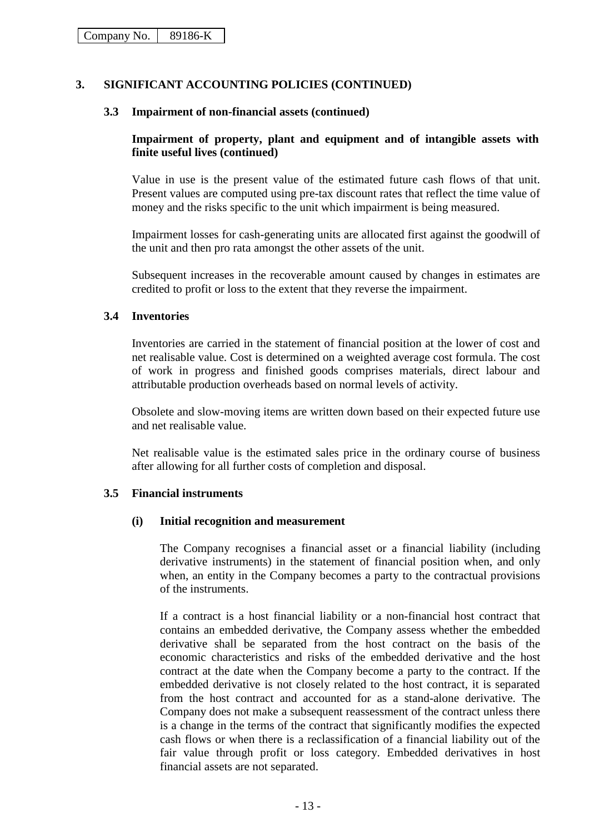### **3. SIGNIFICANT ACCOUNTING POLICIES (CONTINUED)**

#### **3.3 Impairment of non-financial assets (continued)**

### **Impairment of property, plant and equipment and of intangible assets with finite useful lives (continued)**

Value in use is the present value of the estimated future cash flows of that unit. Present values are computed using pre-tax discount rates that reflect the time value of money and the risks specific to the unit which impairment is being measured.

Impairment losses for cash-generating units are allocated first against the goodwill of the unit and then pro rata amongst the other assets of the unit.

Subsequent increases in the recoverable amount caused by changes in estimates are credited to profit or loss to the extent that they reverse the impairment.

#### **3.4 Inventories**

Inventories are carried in the statement of financial position at the lower of cost and net realisable value. Cost is determined on a weighted average cost formula. The cost of work in progress and finished goods comprises materials, direct labour and attributable production overheads based on normal levels of activity.

Obsolete and slow-moving items are written down based on their expected future use and net realisable value.

Net realisable value is the estimated sales price in the ordinary course of business after allowing for all further costs of completion and disposal.

### **3.5 Financial instruments**

#### **(i) Initial recognition and measurement**

The Company recognises a financial asset or a financial liability (including derivative instruments) in the statement of financial position when, and only when, an entity in the Company becomes a party to the contractual provisions of the instruments.

If a contract is a host financial liability or a non-financial host contract that contains an embedded derivative, the Company assess whether the embedded derivative shall be separated from the host contract on the basis of the economic characteristics and risks of the embedded derivative and the host contract at the date when the Company become a party to the contract. If the embedded derivative is not closely related to the host contract, it is separated from the host contract and accounted for as a stand-alone derivative. The Company does not make a subsequent reassessment of the contract unless there is a change in the terms of the contract that significantly modifies the expected cash flows or when there is a reclassification of a financial liability out of the fair value through profit or loss category. Embedded derivatives in host financial assets are not separated.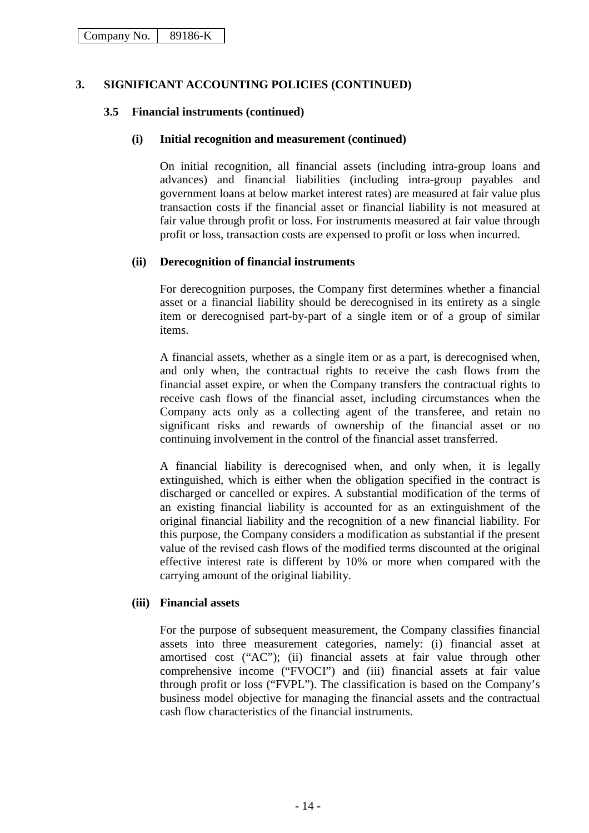### **3. SIGNIFICANT ACCOUNTING POLICIES (CONTINUED)**

#### **3.5 Financial instruments (continued)**

#### **(i) Initial recognition and measurement (continued)**

On initial recognition, all financial assets (including intra-group loans and advances) and financial liabilities (including intra-group payables and government loans at below market interest rates) are measured at fair value plus transaction costs if the financial asset or financial liability is not measured at fair value through profit or loss. For instruments measured at fair value through profit or loss, transaction costs are expensed to profit or loss when incurred.

#### **(ii) Derecognition of financial instruments**

For derecognition purposes, the Company first determines whether a financial asset or a financial liability should be derecognised in its entirety as a single item or derecognised part-by-part of a single item or of a group of similar items.

A financial assets, whether as a single item or as a part, is derecognised when, and only when, the contractual rights to receive the cash flows from the financial asset expire, or when the Company transfers the contractual rights to receive cash flows of the financial asset, including circumstances when the Company acts only as a collecting agent of the transferee, and retain no significant risks and rewards of ownership of the financial asset or no continuing involvement in the control of the financial asset transferred.

A financial liability is derecognised when, and only when, it is legally extinguished, which is either when the obligation specified in the contract is discharged or cancelled or expires. A substantial modification of the terms of an existing financial liability is accounted for as an extinguishment of the original financial liability and the recognition of a new financial liability. For this purpose, the Company considers a modification as substantial if the present value of the revised cash flows of the modified terms discounted at the original effective interest rate is different by 10% or more when compared with the carrying amount of the original liability.

#### **(iii) Financial assets**

For the purpose of subsequent measurement, the Company classifies financial assets into three measurement categories, namely: (i) financial asset at amortised cost ("AC"); (ii) financial assets at fair value through other comprehensive income ("FVOCI") and (iii) financial assets at fair value through profit or loss ("FVPL"). The classification is based on the Company's business model objective for managing the financial assets and the contractual cash flow characteristics of the financial instruments.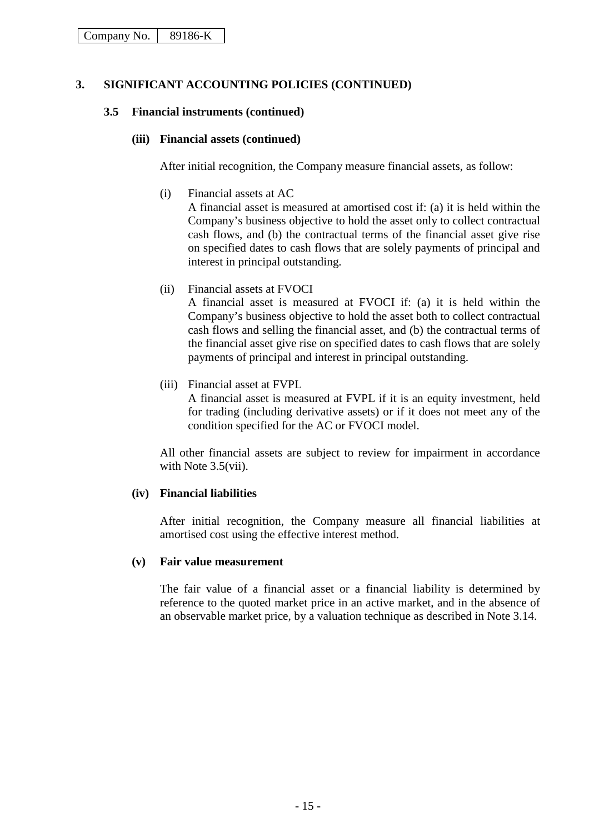### **3. SIGNIFICANT ACCOUNTING POLICIES (CONTINUED)**

### **3.5 Financial instruments (continued)**

#### **(iii) Financial assets (continued)**

After initial recognition, the Company measure financial assets, as follow:

(i) Financial assets at AC

A financial asset is measured at amortised cost if: (a) it is held within the Company's business objective to hold the asset only to collect contractual cash flows, and (b) the contractual terms of the financial asset give rise on specified dates to cash flows that are solely payments of principal and interest in principal outstanding.

(ii) Financial assets at FVOCI

A financial asset is measured at FVOCI if: (a) it is held within the Company's business objective to hold the asset both to collect contractual cash flows and selling the financial asset, and (b) the contractual terms of the financial asset give rise on specified dates to cash flows that are solely payments of principal and interest in principal outstanding.

(iii) Financial asset at FVPL

A financial asset is measured at FVPL if it is an equity investment, held for trading (including derivative assets) or if it does not meet any of the condition specified for the AC or FVOCI model.

All other financial assets are subject to review for impairment in accordance with Note 3.5(vii).

### **(iv) Financial liabilities**

After initial recognition, the Company measure all financial liabilities at amortised cost using the effective interest method.

### **(v) Fair value measurement**

The fair value of a financial asset or a financial liability is determined by reference to the quoted market price in an active market, and in the absence of an observable market price, by a valuation technique as described in Note 3.14.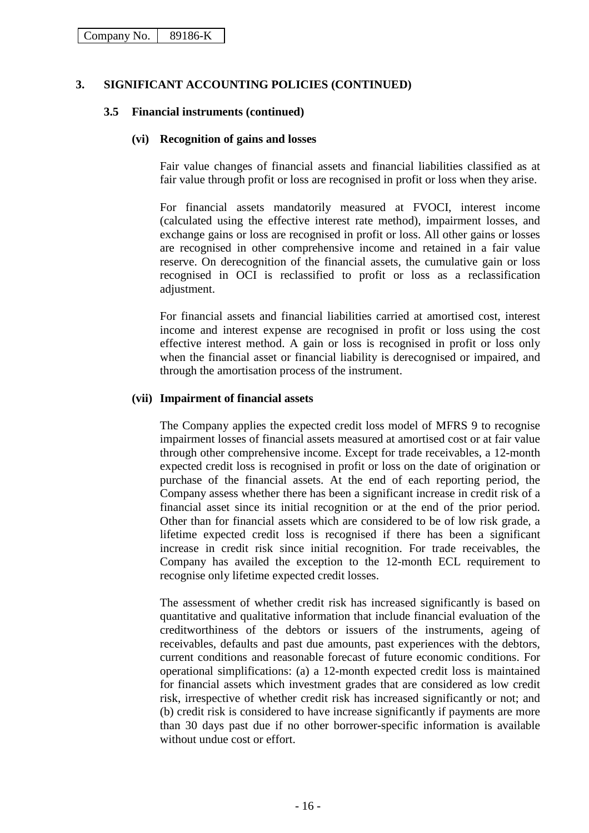#### **3. SIGNIFICANT ACCOUNTING POLICIES (CONTINUED)**

#### **3.5 Financial instruments (continued)**

#### **(vi) Recognition of gains and losses**

Fair value changes of financial assets and financial liabilities classified as at fair value through profit or loss are recognised in profit or loss when they arise.

For financial assets mandatorily measured at FVOCI, interest income (calculated using the effective interest rate method), impairment losses, and exchange gains or loss are recognised in profit or loss. All other gains or losses are recognised in other comprehensive income and retained in a fair value reserve. On derecognition of the financial assets, the cumulative gain or loss recognised in OCI is reclassified to profit or loss as a reclassification adjustment.

For financial assets and financial liabilities carried at amortised cost, interest income and interest expense are recognised in profit or loss using the cost effective interest method. A gain or loss is recognised in profit or loss only when the financial asset or financial liability is derecognised or impaired, and through the amortisation process of the instrument.

#### **(vii) Impairment of financial assets**

The Company applies the expected credit loss model of MFRS 9 to recognise impairment losses of financial assets measured at amortised cost or at fair value through other comprehensive income. Except for trade receivables, a 12-month expected credit loss is recognised in profit or loss on the date of origination or purchase of the financial assets. At the end of each reporting period, the Company assess whether there has been a significant increase in credit risk of a financial asset since its initial recognition or at the end of the prior period. Other than for financial assets which are considered to be of low risk grade, a lifetime expected credit loss is recognised if there has been a significant increase in credit risk since initial recognition. For trade receivables, the Company has availed the exception to the 12-month ECL requirement to recognise only lifetime expected credit losses.

The assessment of whether credit risk has increased significantly is based on quantitative and qualitative information that include financial evaluation of the creditworthiness of the debtors or issuers of the instruments, ageing of receivables, defaults and past due amounts, past experiences with the debtors, current conditions and reasonable forecast of future economic conditions. For operational simplifications: (a) a 12-month expected credit loss is maintained for financial assets which investment grades that are considered as low credit risk, irrespective of whether credit risk has increased significantly or not; and (b) credit risk is considered to have increase significantly if payments are more than 30 days past due if no other borrower-specific information is available without undue cost or effort.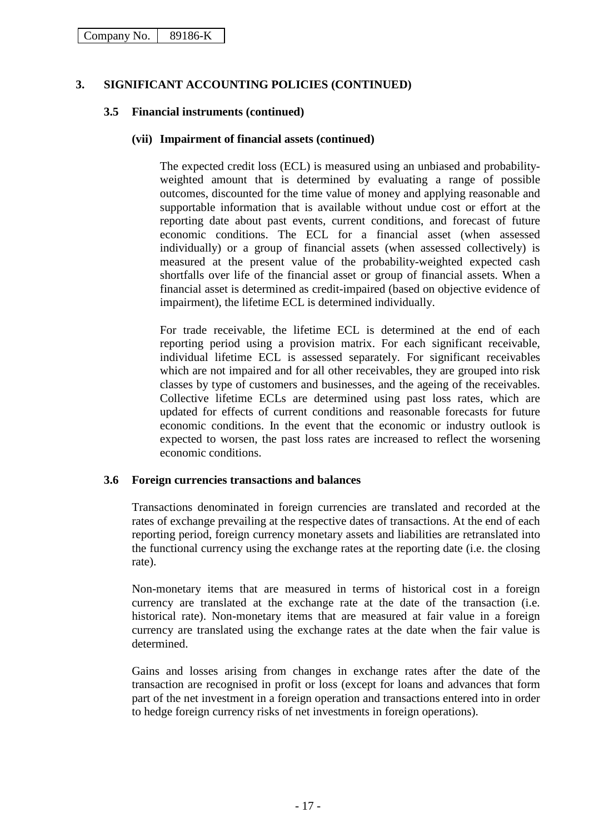### **3. SIGNIFICANT ACCOUNTING POLICIES (CONTINUED)**

### **3.5 Financial instruments (continued)**

### **(vii) Impairment of financial assets (continued)**

The expected credit loss (ECL) is measured using an unbiased and probabilityweighted amount that is determined by evaluating a range of possible outcomes, discounted for the time value of money and applying reasonable and supportable information that is available without undue cost or effort at the reporting date about past events, current conditions, and forecast of future economic conditions. The ECL for a financial asset (when assessed individually) or a group of financial assets (when assessed collectively) is measured at the present value of the probability-weighted expected cash shortfalls over life of the financial asset or group of financial assets. When a financial asset is determined as credit-impaired (based on objective evidence of impairment), the lifetime ECL is determined individually.

For trade receivable, the lifetime ECL is determined at the end of each reporting period using a provision matrix. For each significant receivable, individual lifetime ECL is assessed separately. For significant receivables which are not impaired and for all other receivables, they are grouped into risk classes by type of customers and businesses, and the ageing of the receivables. Collective lifetime ECLs are determined using past loss rates, which are updated for effects of current conditions and reasonable forecasts for future economic conditions. In the event that the economic or industry outlook is expected to worsen, the past loss rates are increased to reflect the worsening economic conditions.

### **3.6 Foreign currencies transactions and balances**

Transactions denominated in foreign currencies are translated and recorded at the rates of exchange prevailing at the respective dates of transactions. At the end of each reporting period, foreign currency monetary assets and liabilities are retranslated into the functional currency using the exchange rates at the reporting date (i.e. the closing rate).

Non-monetary items that are measured in terms of historical cost in a foreign currency are translated at the exchange rate at the date of the transaction (i.e. historical rate). Non-monetary items that are measured at fair value in a foreign currency are translated using the exchange rates at the date when the fair value is determined.

Gains and losses arising from changes in exchange rates after the date of the transaction are recognised in profit or loss (except for loans and advances that form part of the net investment in a foreign operation and transactions entered into in order to hedge foreign currency risks of net investments in foreign operations).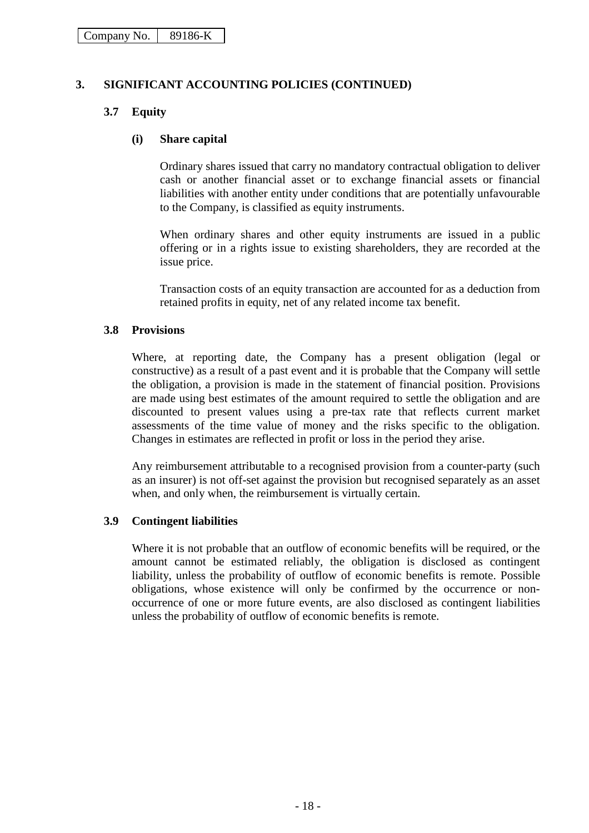### **3. SIGNIFICANT ACCOUNTING POLICIES (CONTINUED)**

### **3.7 Equity**

### **(i) Share capital**

Ordinary shares issued that carry no mandatory contractual obligation to deliver cash or another financial asset or to exchange financial assets or financial liabilities with another entity under conditions that are potentially unfavourable to the Company, is classified as equity instruments.

When ordinary shares and other equity instruments are issued in a public offering or in a rights issue to existing shareholders, they are recorded at the issue price.

Transaction costs of an equity transaction are accounted for as a deduction from retained profits in equity, net of any related income tax benefit.

### **3.8 Provisions**

Where, at reporting date, the Company has a present obligation (legal or constructive) as a result of a past event and it is probable that the Company will settle the obligation, a provision is made in the statement of financial position. Provisions are made using best estimates of the amount required to settle the obligation and are discounted to present values using a pre-tax rate that reflects current market assessments of the time value of money and the risks specific to the obligation. Changes in estimates are reflected in profit or loss in the period they arise.

Any reimbursement attributable to a recognised provision from a counter-party (such as an insurer) is not off-set against the provision but recognised separately as an asset when, and only when, the reimbursement is virtually certain.

### **3.9 Contingent liabilities**

Where it is not probable that an outflow of economic benefits will be required, or the amount cannot be estimated reliably, the obligation is disclosed as contingent liability, unless the probability of outflow of economic benefits is remote. Possible obligations, whose existence will only be confirmed by the occurrence or nonoccurrence of one or more future events, are also disclosed as contingent liabilities unless the probability of outflow of economic benefits is remote.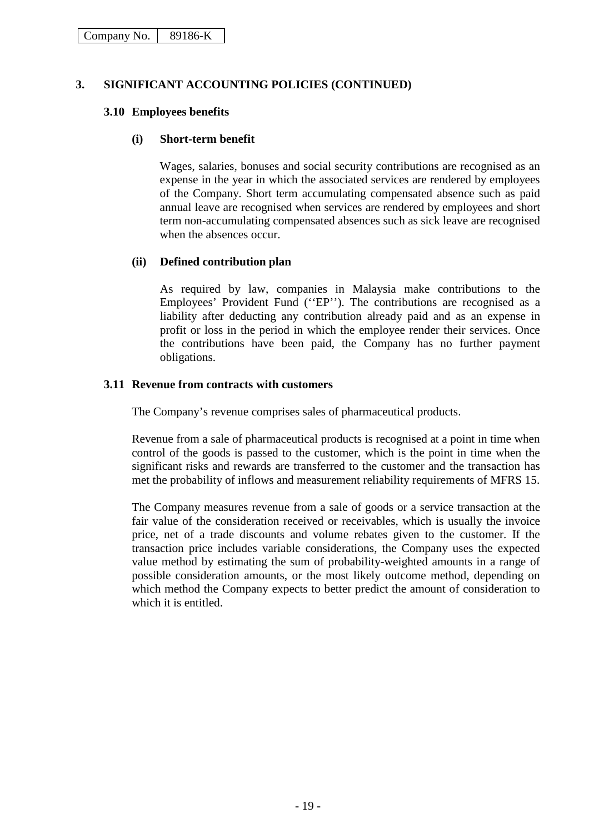### **3. SIGNIFICANT ACCOUNTING POLICIES (CONTINUED)**

### **3.10 Employees benefits**

### **(i) Short-term benefit**

Wages, salaries, bonuses and social security contributions are recognised as an expense in the year in which the associated services are rendered by employees of the Company. Short term accumulating compensated absence such as paid annual leave are recognised when services are rendered by employees and short term non-accumulating compensated absences such as sick leave are recognised when the absences occur.

### **(ii) Defined contribution plan**

As required by law, companies in Malaysia make contributions to the Employees' Provident Fund (''EP''). The contributions are recognised as a liability after deducting any contribution already paid and as an expense in profit or loss in the period in which the employee render their services. Once the contributions have been paid, the Company has no further payment obligations.

### **3.11 Revenue from contracts with customers**

The Company's revenue comprises sales of pharmaceutical products.

Revenue from a sale of pharmaceutical products is recognised at a point in time when control of the goods is passed to the customer, which is the point in time when the significant risks and rewards are transferred to the customer and the transaction has met the probability of inflows and measurement reliability requirements of MFRS 15.

The Company measures revenue from a sale of goods or a service transaction at the fair value of the consideration received or receivables, which is usually the invoice price, net of a trade discounts and volume rebates given to the customer. If the transaction price includes variable considerations, the Company uses the expected value method by estimating the sum of probability-weighted amounts in a range of possible consideration amounts, or the most likely outcome method, depending on which method the Company expects to better predict the amount of consideration to which it is entitled.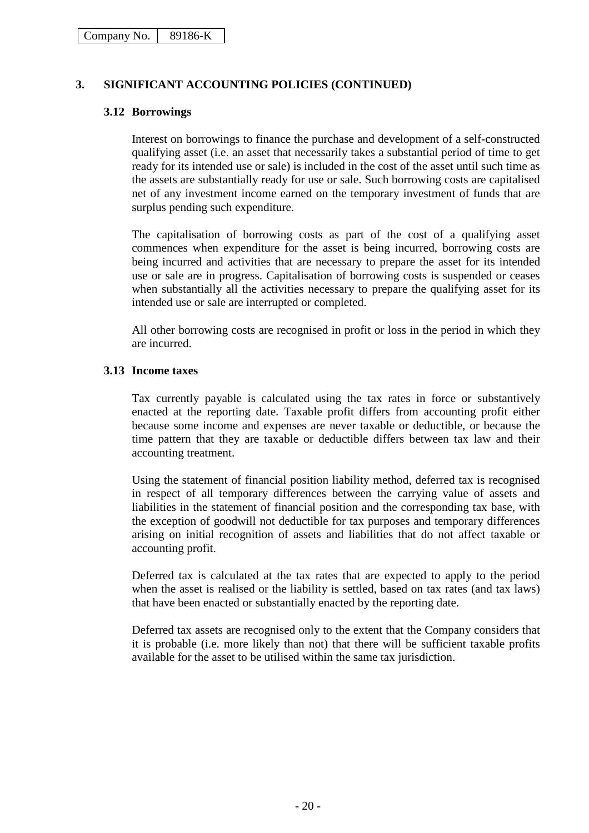### **3. SIGNIFICANT ACCOUNTING POLICIES (CONTINUED)**

### **3.12 Borrowings**

Interest on borrowings to finance the purchase and development of a self-constructed qualifying asset (i.e. an asset that necessarily takes a substantial period of time to get ready for its intended use or sale) is included in the cost of the asset until such time as the assets are substantially ready for use or sale. Such borrowing costs are capitalised net of any investment income earned on the temporary investment of funds that are surplus pending such expenditure.

The capitalisation of borrowing costs as part of the cost of a qualifying asset commences when expenditure for the asset is being incurred, borrowing costs are being incurred and activities that are necessary to prepare the asset for its intended use or sale are in progress. Capitalisation of borrowing costs is suspended or ceases when substantially all the activities necessary to prepare the qualifying asset for its intended use or sale are interrupted or completed.

All other borrowing costs are recognised in profit or loss in the period in which they are incurred.

### **3.13 Income taxes**

Tax currently payable is calculated using the tax rates in force or substantively enacted at the reporting date. Taxable profit differs from accounting profit either because some income and expenses are never taxable or deductible, or because the time pattern that they are taxable or deductible differs between tax law and their accounting treatment.

Using the statement of financial position liability method, deferred tax is recognised in respect of all temporary differences between the carrying value of assets and liabilities in the statement of financial position and the corresponding tax base, with the exception of goodwill not deductible for tax purposes and temporary differences arising on initial recognition of assets and liabilities that do not affect taxable or accounting profit.

Deferred tax is calculated at the tax rates that are expected to apply to the period when the asset is realised or the liability is settled, based on tax rates (and tax laws) that have been enacted or substantially enacted by the reporting date.

Deferred tax assets are recognised only to the extent that the Company considers that it is probable (i.e. more likely than not) that there will be sufficient taxable profits available for the asset to be utilised within the same tax jurisdiction.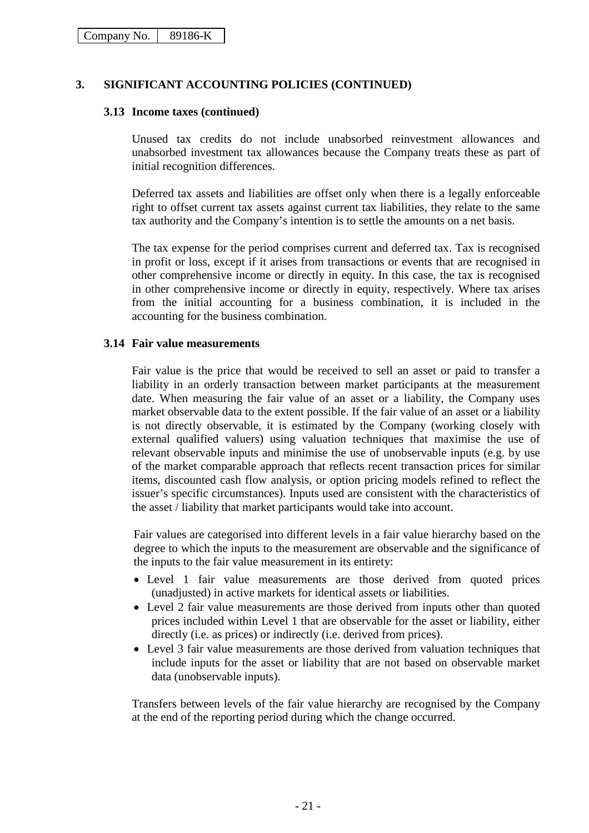### **3. SIGNIFICANT ACCOUNTING POLICIES (CONTINUED)**

### **3.13 Income taxes (continued)**

Unused tax credits do not include unabsorbed reinvestment allowances and unabsorbed investment tax allowances because the Company treats these as part of initial recognition differences.

Deferred tax assets and liabilities are offset only when there is a legally enforceable right to offset current tax assets against current tax liabilities, they relate to the same tax authority and the Company's intention is to settle the amounts on a net basis.

The tax expense for the period comprises current and deferred tax. Tax is recognised in profit or loss, except if it arises from transactions or events that are recognised in other comprehensive income or directly in equity. In this case, the tax is recognised in other comprehensive income or directly in equity, respectively. Where tax arises from the initial accounting for a business combination, it is included in the accounting for the business combination.

#### **3.14 Fair value measurements**

Fair value is the price that would be received to sell an asset or paid to transfer a liability in an orderly transaction between market participants at the measurement date. When measuring the fair value of an asset or a liability, the Company uses market observable data to the extent possible. If the fair value of an asset or a liability is not directly observable, it is estimated by the Company (working closely with external qualified valuers) using valuation techniques that maximise the use of relevant observable inputs and minimise the use of unobservable inputs (e.g. by use of the market comparable approach that reflects recent transaction prices for similar items, discounted cash flow analysis, or option pricing models refined to reflect the issuer's specific circumstances). Inputs used are consistent with the characteristics of the asset / liability that market participants would take into account.

Fair values are categorised into different levels in a fair value hierarchy based on the degree to which the inputs to the measurement are observable and the significance of the inputs to the fair value measurement in its entirety:

- Level 1 fair value measurements are those derived from quoted prices (unadjusted) in active markets for identical assets or liabilities.
- Level 2 fair value measurements are those derived from inputs other than quoted prices included within Level 1 that are observable for the asset or liability, either directly (i.e. as prices) or indirectly (i.e. derived from prices).
- Level 3 fair value measurements are those derived from valuation techniques that include inputs for the asset or liability that are not based on observable market data (unobservable inputs).

Transfers between levels of the fair value hierarchy are recognised by the Company at the end of the reporting period during which the change occurred.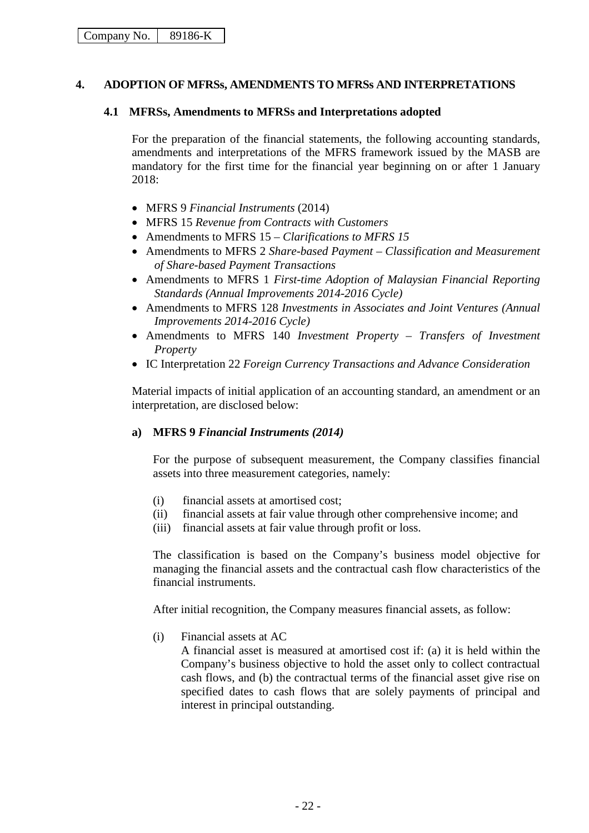### **4.1 MFRSs, Amendments to MFRSs and Interpretations adopted**

For the preparation of the financial statements, the following accounting standards, amendments and interpretations of the MFRS framework issued by the MASB are mandatory for the first time for the financial year beginning on or after 1 January 2018:

- MFRS 9 *Financial Instruments* (2014)
- MFRS 15 *Revenue from Contracts with Customers*
- Amendments to MFRS 15 *Clarifications to MFRS 15*
- Amendments to MFRS 2 *Share-based Payment Classification and Measurement of Share-based Payment Transactions*
- Amendments to MFRS 1 *First-time Adoption of Malaysian Financial Reporting Standards (Annual Improvements 2014-2016 Cycle)*
- Amendments to MFRS 128 *Investments in Associates and Joint Ventures (Annual Improvements 2014-2016 Cycle)*
- Amendments to MFRS 140 *Investment Property Transfers of Investment Property*
- IC Interpretation 22 *Foreign Currency Transactions and Advance Consideration*

Material impacts of initial application of an accounting standard, an amendment or an interpretation, are disclosed below:

#### **a) MFRS 9** *Financial Instruments (2014)*

For the purpose of subsequent measurement, the Company classifies financial assets into three measurement categories, namely:

- (i) financial assets at amortised cost;
- (ii) financial assets at fair value through other comprehensive income; and
- (iii) financial assets at fair value through profit or loss.

The classification is based on the Company's business model objective for managing the financial assets and the contractual cash flow characteristics of the financial instruments.

After initial recognition, the Company measures financial assets, as follow:

(i) Financial assets at AC

A financial asset is measured at amortised cost if: (a) it is held within the Company's business objective to hold the asset only to collect contractual cash flows, and (b) the contractual terms of the financial asset give rise on specified dates to cash flows that are solely payments of principal and interest in principal outstanding.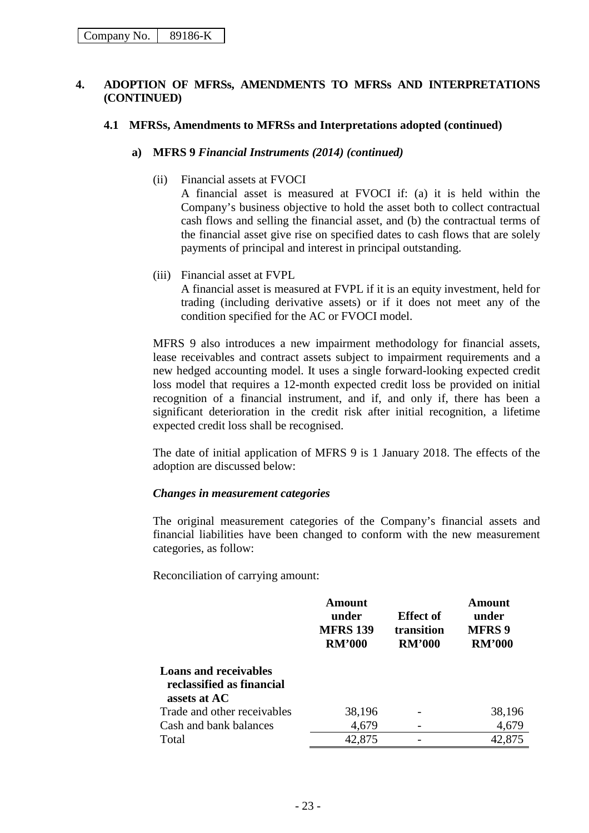### **4.1 MFRSs, Amendments to MFRSs and Interpretations adopted (continued)**

#### **a) MFRS 9** *Financial Instruments (2014) (continued)*

(ii) Financial assets at FVOCI

A financial asset is measured at FVOCI if: (a) it is held within the Company's business objective to hold the asset both to collect contractual cash flows and selling the financial asset, and (b) the contractual terms of the financial asset give rise on specified dates to cash flows that are solely payments of principal and interest in principal outstanding.

(iii) Financial asset at FVPL

A financial asset is measured at FVPL if it is an equity investment, held for trading (including derivative assets) or if it does not meet any of the condition specified for the AC or FVOCI model.

MFRS 9 also introduces a new impairment methodology for financial assets, lease receivables and contract assets subject to impairment requirements and a new hedged accounting model. It uses a single forward-looking expected credit loss model that requires a 12-month expected credit loss be provided on initial recognition of a financial instrument, and if, and only if, there has been a significant deterioration in the credit risk after initial recognition, a lifetime expected credit loss shall be recognised.

The date of initial application of MFRS 9 is 1 January 2018. The effects of the adoption are discussed below:

#### *Changes in measurement categories*

The original measurement categories of the Company's financial assets and financial liabilities have been changed to conform with the new measurement categories, as follow:

Reconciliation of carrying amount:

|                                                                           | Amount<br>under<br><b>MFRS 139</b><br><b>RM'000</b> | <b>Effect of</b><br>transition<br><b>RM'000</b> | Amount<br>under<br><b>MFRS 9</b><br><b>RM'000</b> |
|---------------------------------------------------------------------------|-----------------------------------------------------|-------------------------------------------------|---------------------------------------------------|
| <b>Loans and receivables</b><br>reclassified as financial<br>assets at AC |                                                     |                                                 |                                                   |
| Trade and other receivables                                               | 38,196                                              |                                                 | 38,196                                            |
| Cash and bank balances                                                    | 4,679                                               |                                                 | 4,679                                             |
| Total                                                                     | 42,875                                              |                                                 | 42,875                                            |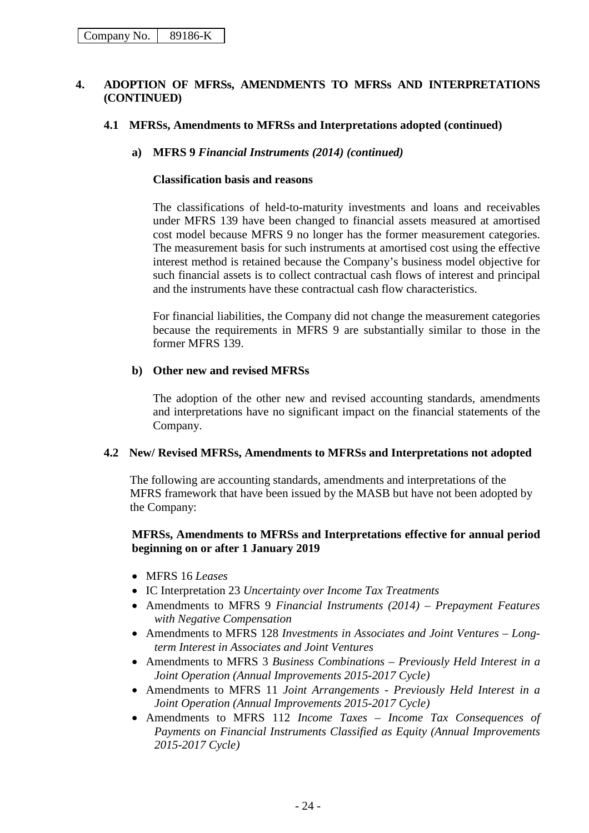### **4.1 MFRSs, Amendments to MFRSs and Interpretations adopted (continued)**

### **a) MFRS 9** *Financial Instruments (2014) (continued)*

#### **Classification basis and reasons**

The classifications of held-to-maturity investments and loans and receivables under MFRS 139 have been changed to financial assets measured at amortised cost model because MFRS 9 no longer has the former measurement categories. The measurement basis for such instruments at amortised cost using the effective interest method is retained because the Company's business model objective for such financial assets is to collect contractual cash flows of interest and principal and the instruments have these contractual cash flow characteristics.

For financial liabilities, the Company did not change the measurement categories because the requirements in MFRS 9 are substantially similar to those in the former MFRS 139.

#### **b) Other new and revised MFRSs**

The adoption of the other new and revised accounting standards, amendments and interpretations have no significant impact on the financial statements of the Company.

#### **4.2 New/ Revised MFRSs, Amendments to MFRSs and Interpretations not adopted**

The following are accounting standards, amendments and interpretations of the MFRS framework that have been issued by the MASB but have not been adopted by the Company:

### **MFRSs, Amendments to MFRSs and Interpretations effective for annual period beginning on or after 1 January 2019**

- MFRS 16 *Leases*
- IC Interpretation 23 *Uncertainty over Income Tax Treatments*
- Amendments to MFRS 9 *Financial Instruments (2014)* – *Prepayment Features with Negative Compensation*
- Amendments to MFRS 128 *Investments in Associates and Joint Ventures Longterm Interest in Associates and Joint Ventures*
- Amendments to MFRS 3 *Business Combinations Previously Held Interest in a Joint Operation (Annual Improvements 2015-2017 Cycle)*
- Amendments to MFRS 11 *Joint Arrangements Previously Held Interest in a Joint Operation (Annual Improvements 2015-2017 Cycle)*
- Amendments to MFRS 112 *Income Taxes Income Tax Consequences of Payments on Financial Instruments Classified as Equity (Annual Improvements 2015-2017 Cycle)*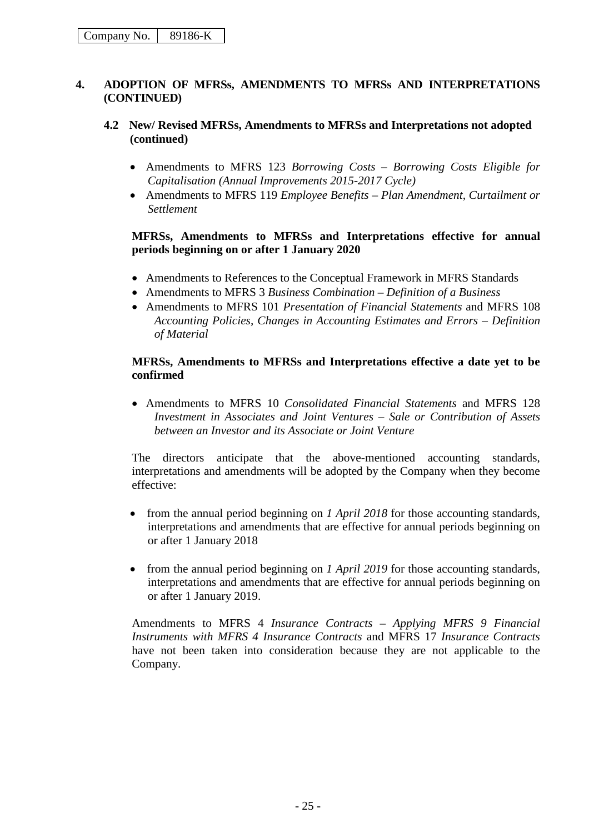## **4.2 New/ Revised MFRSs, Amendments to MFRSs and Interpretations not adopted (continued)**

- Amendments to MFRS 123 *Borrowing Costs Borrowing Costs Eligible for Capitalisation (Annual Improvements 2015-2017 Cycle)*
- Amendments to MFRS 119 *Employee Benefits Plan Amendment, Curtailment or Settlement*

### **MFRSs, Amendments to MFRSs and Interpretations effective for annual periods beginning on or after 1 January 2020**

- Amendments to References to the Conceptual Framework in MFRS Standards
- Amendments to MFRS 3 *Business Combination Definition of a Business*
- Amendments to MFRS 101 *Presentation of Financial Statements* and MFRS 108 *Accounting Policies, Changes in Accounting Estimates and Errors – Definition of Material*

### **MFRSs, Amendments to MFRSs and Interpretations effective a date yet to be confirmed**

 Amendments to MFRS 10 *Consolidated Financial Statements* and MFRS 128 *Investment in Associates and Joint Ventures – Sale or Contribution of Assets between an Investor and its Associate or Joint Venture*

The directors anticipate that the above-mentioned accounting standards, interpretations and amendments will be adopted by the Company when they become effective:

- from the annual period beginning on *1 April 2018* for those accounting standards, interpretations and amendments that are effective for annual periods beginning on or after 1 January 2018
- from the annual period beginning on *1 April 2019* for those accounting standards, interpretations and amendments that are effective for annual periods beginning on or after 1 January 2019.

Amendments to MFRS 4 *Insurance Contracts – Applying MFRS 9 Financial Instruments with MFRS 4 Insurance Contracts* and MFRS 17 *Insurance Contracts* have not been taken into consideration because they are not applicable to the Company.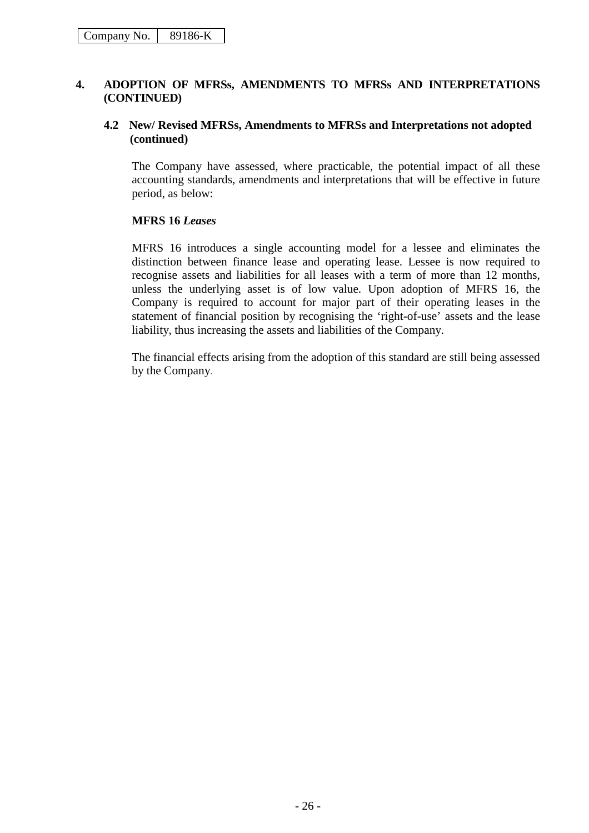### **4.2 New/ Revised MFRSs, Amendments to MFRSs and Interpretations not adopted (continued)**

The Company have assessed, where practicable, the potential impact of all these accounting standards, amendments and interpretations that will be effective in future period, as below:

### **MFRS 16** *Leases*

MFRS 16 introduces a single accounting model for a lessee and eliminates the distinction between finance lease and operating lease. Lessee is now required to recognise assets and liabilities for all leases with a term of more than 12 months, unless the underlying asset is of low value. Upon adoption of MFRS 16, the Company is required to account for major part of their operating leases in the statement of financial position by recognising the 'right-of-use' assets and the lease liability, thus increasing the assets and liabilities of the Company.

The financial effects arising from the adoption of this standard are still being assessed by the Company.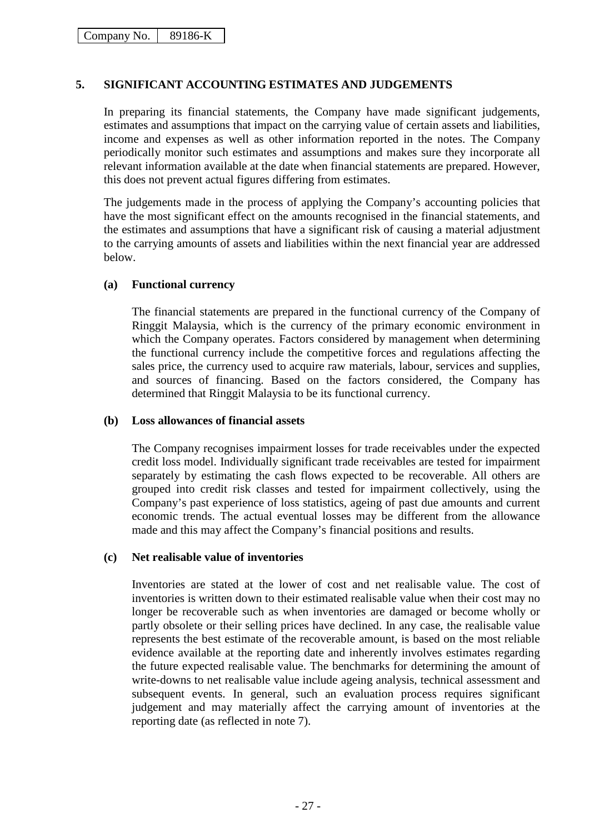### **5. SIGNIFICANT ACCOUNTING ESTIMATES AND JUDGEMENTS**

In preparing its financial statements, the Company have made significant judgements, estimates and assumptions that impact on the carrying value of certain assets and liabilities, income and expenses as well as other information reported in the notes. The Company periodically monitor such estimates and assumptions and makes sure they incorporate all relevant information available at the date when financial statements are prepared. However, this does not prevent actual figures differing from estimates.

The judgements made in the process of applying the Company's accounting policies that have the most significant effect on the amounts recognised in the financial statements, and the estimates and assumptions that have a significant risk of causing a material adjustment to the carrying amounts of assets and liabilities within the next financial year are addressed below.

### **(a) Functional currency**

The financial statements are prepared in the functional currency of the Company of Ringgit Malaysia, which is the currency of the primary economic environment in which the Company operates. Factors considered by management when determining the functional currency include the competitive forces and regulations affecting the sales price, the currency used to acquire raw materials, labour, services and supplies, and sources of financing. Based on the factors considered, the Company has determined that Ringgit Malaysia to be its functional currency.

### **(b) Loss allowances of financial assets**

The Company recognises impairment losses for trade receivables under the expected credit loss model. Individually significant trade receivables are tested for impairment separately by estimating the cash flows expected to be recoverable. All others are grouped into credit risk classes and tested for impairment collectively, using the Company's past experience of loss statistics, ageing of past due amounts and current economic trends. The actual eventual losses may be different from the allowance made and this may affect the Company's financial positions and results.

### **(c) Net realisable value of inventories**

Inventories are stated at the lower of cost and net realisable value. The cost of inventories is written down to their estimated realisable value when their cost may no longer be recoverable such as when inventories are damaged or become wholly or partly obsolete or their selling prices have declined. In any case, the realisable value represents the best estimate of the recoverable amount, is based on the most reliable evidence available at the reporting date and inherently involves estimates regarding the future expected realisable value. The benchmarks for determining the amount of write-downs to net realisable value include ageing analysis, technical assessment and subsequent events. In general, such an evaluation process requires significant judgement and may materially affect the carrying amount of inventories at the reporting date (as reflected in note 7).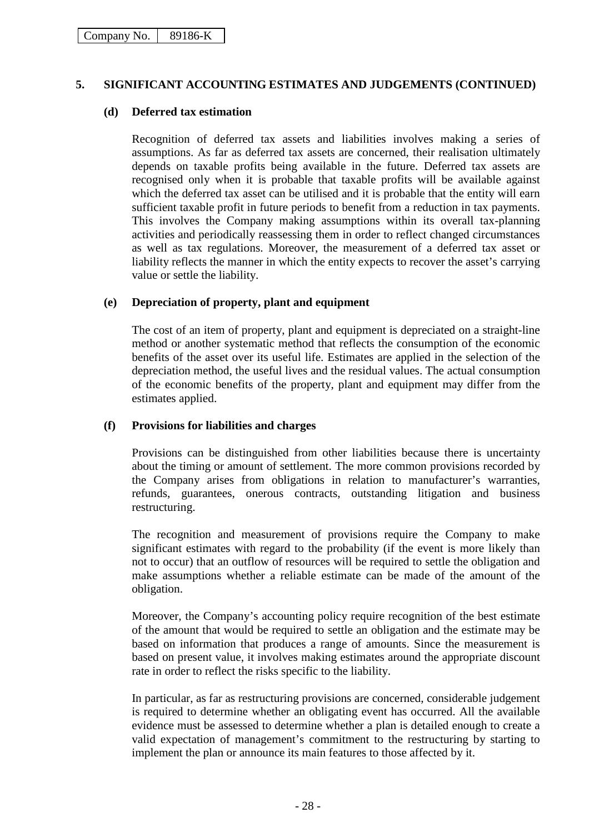### **5. SIGNIFICANT ACCOUNTING ESTIMATES AND JUDGEMENTS (CONTINUED)**

### **(d) Deferred tax estimation**

Recognition of deferred tax assets and liabilities involves making a series of assumptions. As far as deferred tax assets are concerned, their realisation ultimately depends on taxable profits being available in the future. Deferred tax assets are recognised only when it is probable that taxable profits will be available against which the deferred tax asset can be utilised and it is probable that the entity will earn sufficient taxable profit in future periods to benefit from a reduction in tax payments. This involves the Company making assumptions within its overall tax-planning activities and periodically reassessing them in order to reflect changed circumstances as well as tax regulations. Moreover, the measurement of a deferred tax asset or liability reflects the manner in which the entity expects to recover the asset's carrying value or settle the liability.

#### **(e) Depreciation of property, plant and equipment**

The cost of an item of property, plant and equipment is depreciated on a straight-line method or another systematic method that reflects the consumption of the economic benefits of the asset over its useful life. Estimates are applied in the selection of the depreciation method, the useful lives and the residual values. The actual consumption of the economic benefits of the property, plant and equipment may differ from the estimates applied.

### **(f) Provisions for liabilities and charges**

Provisions can be distinguished from other liabilities because there is uncertainty about the timing or amount of settlement. The more common provisions recorded by the Company arises from obligations in relation to manufacturer's warranties, refunds, guarantees, onerous contracts, outstanding litigation and business restructuring.

The recognition and measurement of provisions require the Company to make significant estimates with regard to the probability (if the event is more likely than not to occur) that an outflow of resources will be required to settle the obligation and make assumptions whether a reliable estimate can be made of the amount of the obligation.

Moreover, the Company's accounting policy require recognition of the best estimate of the amount that would be required to settle an obligation and the estimate may be based on information that produces a range of amounts. Since the measurement is based on present value, it involves making estimates around the appropriate discount rate in order to reflect the risks specific to the liability.

In particular, as far as restructuring provisions are concerned, considerable judgement is required to determine whether an obligating event has occurred. All the available evidence must be assessed to determine whether a plan is detailed enough to create a valid expectation of management's commitment to the restructuring by starting to implement the plan or announce its main features to those affected by it.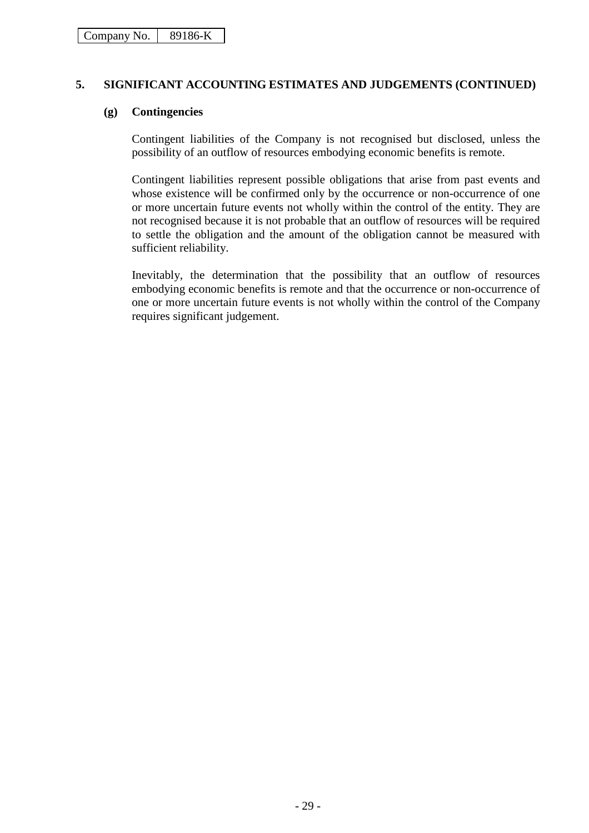### **5. SIGNIFICANT ACCOUNTING ESTIMATES AND JUDGEMENTS (CONTINUED)**

#### **(g) Contingencies**

Contingent liabilities of the Company is not recognised but disclosed, unless the possibility of an outflow of resources embodying economic benefits is remote.

Contingent liabilities represent possible obligations that arise from past events and whose existence will be confirmed only by the occurrence or non-occurrence of one or more uncertain future events not wholly within the control of the entity. They are not recognised because it is not probable that an outflow of resources will be required to settle the obligation and the amount of the obligation cannot be measured with sufficient reliability.

Inevitably, the determination that the possibility that an outflow of resources embodying economic benefits is remote and that the occurrence or non-occurrence of one or more uncertain future events is not wholly within the control of the Company requires significant judgement.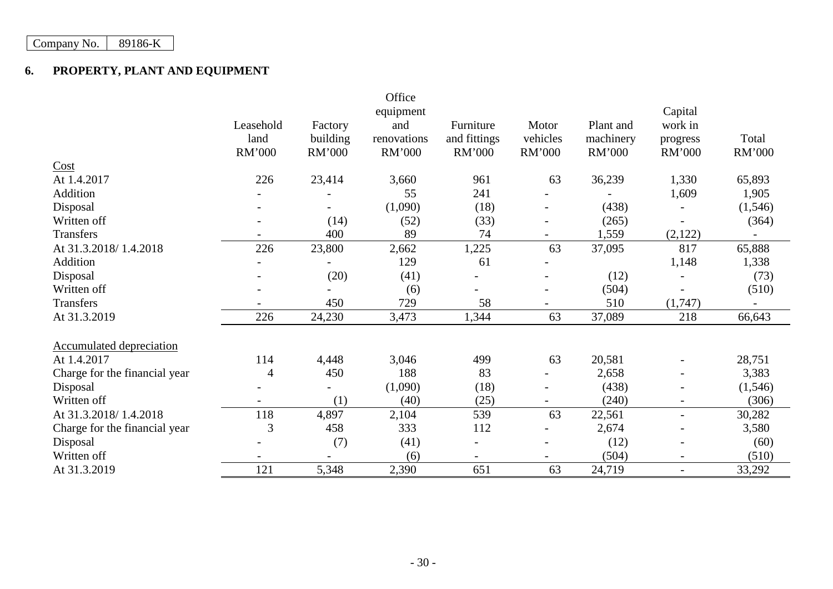#### **6.PROPERTY, PLANT AND EQUIPMENT**

|                                 |                          |                | Office      |                          |                          |           |                          |         |
|---------------------------------|--------------------------|----------------|-------------|--------------------------|--------------------------|-----------|--------------------------|---------|
|                                 |                          |                | equipment   |                          |                          |           | Capital                  |         |
|                                 | Leasehold                | Factory        | and         | Furniture                | Motor                    | Plant and | work in                  |         |
|                                 | land                     | building       | renovations | and fittings             | vehicles                 | machinery | progress                 | Total   |
|                                 | RM'000                   | RM'000         | RM'000      | RM'000                   | RM'000                   | RM'000    | RM'000                   | RM'000  |
| Cost                            |                          |                |             |                          |                          |           |                          |         |
| At 1.4.2017                     | 226                      | 23,414         | 3,660       | 961                      | 63                       | 36,239    | 1,330                    | 65,893  |
| Addition                        |                          |                | 55          | 241                      |                          |           | 1,609                    | 1,905   |
| Disposal                        |                          | $\blacksquare$ | (1,090)     | (18)                     |                          | (438)     |                          | (1,546) |
| Written off                     |                          | (14)           | (52)        | (33)                     |                          | (265)     |                          | (364)   |
| Transfers                       |                          | 400            | 89          | 74                       |                          | 1,559     | (2,122)                  |         |
| At 31.3.2018/1.4.2018           | 226                      | 23,800         | 2,662       | 1,225                    | 63                       | 37,095    | 817                      | 65,888  |
| Addition                        |                          |                | 129         | 61                       |                          |           | 1,148                    | 1,338   |
| Disposal                        |                          | (20)           | (41)        | $\overline{\phantom{0}}$ |                          | (12)      |                          | (73)    |
| Written off                     |                          |                | (6)         |                          |                          | (504)     |                          | (510)   |
| Transfers                       |                          | 450            | 729         | 58                       |                          | 510       | (1,747)                  |         |
| At 31.3.2019                    | 226                      | 24,230         | 3,473       | 1,344                    | 63                       | 37,089    | 218                      | 66,643  |
| <b>Accumulated depreciation</b> |                          |                |             |                          |                          |           |                          |         |
| At 1.4.2017                     | 114                      | 4,448          | 3,046       | 499                      | 63                       | 20,581    |                          | 28,751  |
| Charge for the financial year   | 4                        | 450            | 188         | 83                       |                          | 2,658     |                          | 3,383   |
| Disposal                        |                          |                | (1,090)     | (18)                     |                          | (438)     |                          | (1,546) |
| Written off                     |                          | (1)            | (40)        | (25)                     | $\overline{\phantom{0}}$ | (240)     |                          | (306)   |
| At 31.3.2018/1.4.2018           | 118                      | 4,897          | 2,104       | 539                      | 63                       | 22,561    | $\overline{\phantom{a}}$ | 30,282  |
| Charge for the financial year   | 3                        | 458            | 333         | 112                      |                          | 2,674     |                          | 3,580   |
| Disposal                        |                          | (7)            | (41)        | $\overline{\phantom{0}}$ |                          | (12)      |                          | (60)    |
| Written off                     | $\overline{\phantom{a}}$ |                | (6)         | $\overline{\phantom{a}}$ | $\overline{\phantom{a}}$ | (504)     | $\overline{\phantom{0}}$ | (510)   |
| At 31.3.2019                    | 121                      | 5,348          | 2,390       | 651                      | 63                       | 24,719    | $\overline{\phantom{0}}$ | 33,292  |
|                                 |                          |                |             |                          |                          |           |                          |         |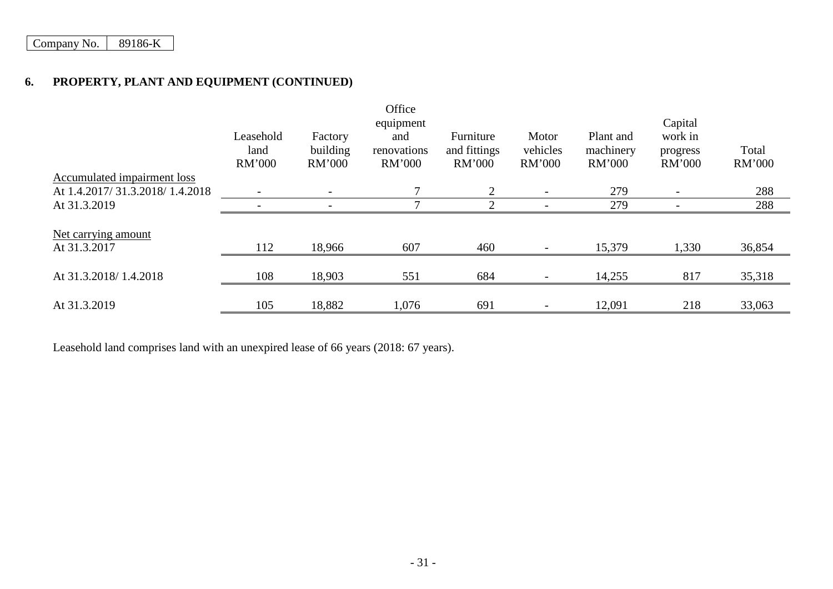#### **6.PROPERTY, PLANT AND EQUIPMENT (CONTINUED)**

|                                                               |                             |                                      | Office<br>equipment          |                                     |                             |                                  | Capital                              |                 |
|---------------------------------------------------------------|-----------------------------|--------------------------------------|------------------------------|-------------------------------------|-----------------------------|----------------------------------|--------------------------------------|-----------------|
|                                                               | Leasehold<br>land<br>RM'000 | Factory<br>building<br><b>RM'000</b> | and<br>renovations<br>RM'000 | Furniture<br>and fittings<br>RM'000 | Motor<br>vehicles<br>RM'000 | Plant and<br>machinery<br>RM'000 | work in<br>progress<br><b>RM'000</b> | Total<br>RM'000 |
| Accumulated impairment loss<br>At 1.4.2017/31.3.2018/1.4.2018 |                             | $\overline{\phantom{a}}$             |                              | 2                                   | $\overline{\phantom{0}}$    | 279                              | $\overline{\phantom{a}}$             | 288             |
| At 31.3.2019                                                  |                             |                                      |                              | ◠                                   |                             | 279                              | $\overline{\phantom{0}}$             | 288             |
| Net carrying amount<br>At 31.3.2017                           | 112                         | 18,966                               | 607                          | 460                                 | $\overline{a}$              | 15,379                           | 1,330                                | 36,854          |
| At 31.3.2018/1.4.2018                                         | 108                         | 18,903                               | 551                          | 684                                 |                             | 14,255                           | 817                                  | 35,318          |
| At 31.3.2019                                                  | 105                         | 18,882                               | 1,076                        | 691                                 |                             | 12,091                           | 218                                  | 33,063          |

Leasehold land comprises land with an unexpired lease of 66 years (2018: 67 years).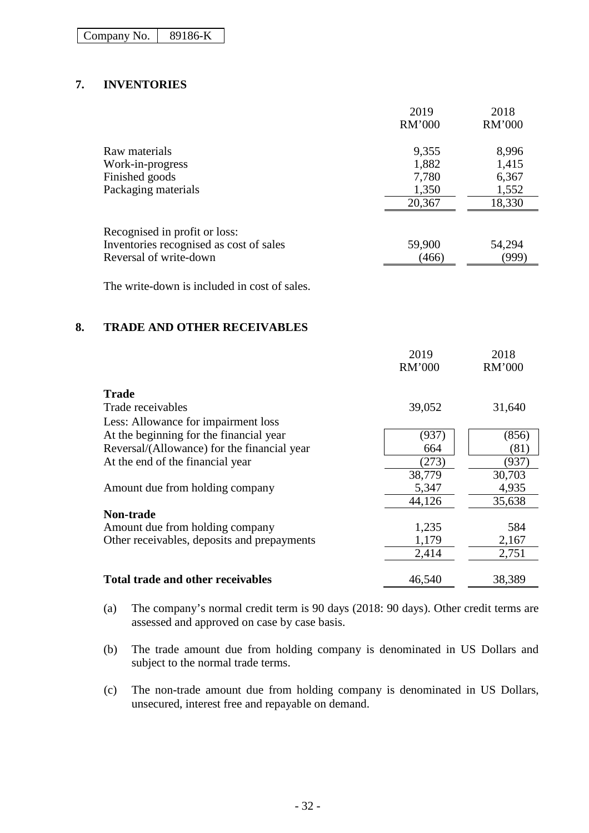### **7. INVENTORIES**

|    |                                              | 2019<br><b>RM'000</b> | 2018<br><b>RM'000</b> |
|----|----------------------------------------------|-----------------------|-----------------------|
|    | Raw materials                                | 9,355                 | 8,996                 |
|    | Work-in-progress                             | 1,882                 | 1,415                 |
|    | Finished goods                               | 7,780                 | 6,367                 |
|    | Packaging materials                          | 1,350                 | 1,552                 |
|    |                                              | 20,367                | 18,330                |
|    | Recognised in profit or loss:                |                       |                       |
|    | Inventories recognised as cost of sales      | 59,900                | 54,294                |
|    | Reversal of write-down                       | (466)                 | (999)                 |
|    | The write-down is included in cost of sales. |                       |                       |
| 8. | <b>TRADE AND OTHER RECEIVABLES</b>           |                       |                       |
|    |                                              | 2019<br>RM'000        | 2018<br>RM'000        |
|    | <b>Trade</b>                                 |                       |                       |
|    | Trade receivables                            | 39,052                | 31,640                |
|    | Less: Allowance for impairment loss          |                       |                       |
|    | At the beginning for the financial year      | (937)                 | (856)                 |
|    | Reversal/(Allowance) for the financial year  | 664                   | (81)                  |
|    | At the end of the financial year             | (273)                 | (937)                 |
|    |                                              | 38,779                | 30,703                |
|    | Amount due from holding company              | 5,347                 | 4,935                 |
|    |                                              | 44,126                | 35,638                |
|    | Non-trade                                    |                       |                       |
|    | Amount due from holding company              | 1,235                 | 584                   |
|    | Other receivables, deposits and prepayments  | 1,179                 | 2,167                 |
|    |                                              | 2,414                 | 2,751                 |
|    | <b>Total trade and other receivables</b>     | 46,540                | 38,389                |
|    |                                              |                       |                       |

- (a) The company's normal credit term is 90 days (2018: 90 days). Other credit terms are assessed and approved on case by case basis.
- (b) The trade amount due from holding company is denominated in US Dollars and subject to the normal trade terms.
- (c) The non-trade amount due from holding company is denominated in US Dollars, unsecured, interest free and repayable on demand.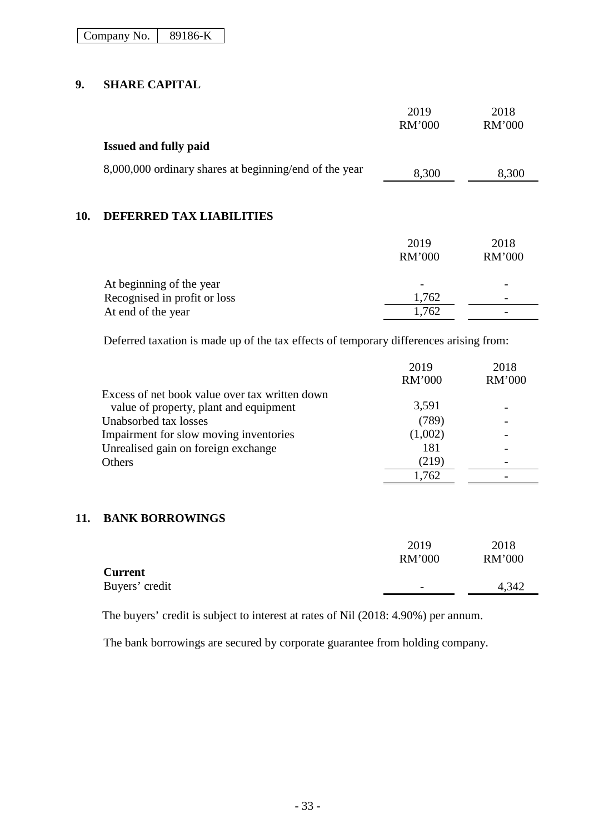### **9. SHARE CAPITAL**

|     |                                                        | 2019<br><b>RM'000</b> | 2018<br><b>RM'000</b> |
|-----|--------------------------------------------------------|-----------------------|-----------------------|
|     | <b>Issued and fully paid</b>                           |                       |                       |
|     | 8,000,000 ordinary shares at beginning/end of the year | 8,300                 | 8,300                 |
|     |                                                        |                       |                       |
| 10. | DEFERRED TAX LIABILITIES                               |                       |                       |
|     |                                                        | 2019<br>RM'000        | 2018<br><b>RM'000</b> |
|     | At beginning of the year                               |                       |                       |
|     | Recognised in profit or loss                           | 1,762                 |                       |
|     | At end of the year                                     | 1,762                 |                       |

Deferred taxation is made up of the tax effects of temporary differences arising from:

|                                                | 2019          | 2018   |
|------------------------------------------------|---------------|--------|
|                                                | <b>RM'000</b> | RM'000 |
| Excess of net book value over tax written down |               |        |
| value of property, plant and equipment         | 3,591         |        |
| Unabsorbed tax losses                          | (789)         |        |
| Impairment for slow moving inventories         | (1,002)       |        |
| Unrealised gain on foreign exchange            | 181           |        |
| <b>Others</b>                                  | (219)         |        |
|                                                | 1,762         |        |

### **11. BANK BORROWINGS**

|                                  | 2019<br>RM'000           | 2018<br><b>RM'000</b> |
|----------------------------------|--------------------------|-----------------------|
| <b>Current</b><br>Buyers' credit |                          |                       |
|                                  | $\overline{\phantom{0}}$ | 4,342                 |

The buyers' credit is subject to interest at rates of Nil (2018: 4.90%) per annum.

The bank borrowings are secured by corporate guarantee from holding company.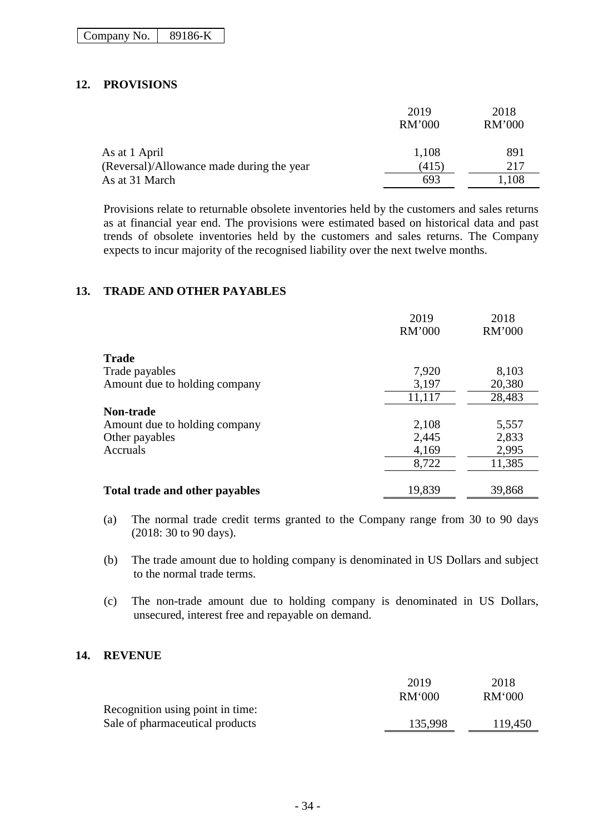### **12. PROVISIONS**

|                                           | 2019<br><b>RM'000</b> | 2018<br><b>RM'000</b> |
|-------------------------------------------|-----------------------|-----------------------|
| As at 1 April                             | 1,108                 | 891                   |
| (Reversal)/Allowance made during the year | (415)                 | 217                   |
| As at 31 March                            | 693                   | 1,108                 |

Provisions relate to returnable obsolete inventories held by the customers and sales returns as at financial year end. The provisions were estimated based on historical data and past trends of obsolete inventories held by the customers and sales returns. The Company expects to incur majority of the recognised liability over the next twelve months.

### **13. TRADE AND OTHER PAYABLES**

|                                                                 | 2019<br><b>RM'000</b>   | 2018<br><b>RM'000</b>   |
|-----------------------------------------------------------------|-------------------------|-------------------------|
| <b>Trade</b><br>Trade payables<br>Amount due to holding company | 7,920<br>3,197          | 8,103<br>20,380         |
| <b>Non-trade</b>                                                | 11,117                  | 28,483                  |
| Amount due to holding company<br>Other payables<br>Accruals     | 2,108<br>2,445<br>4,169 | 5,557<br>2,833<br>2,995 |
|                                                                 | 8,722                   | 11,385                  |
| Total trade and other payables                                  | 19,839                  | 39,868                  |

- (a) The normal trade credit terms granted to the Company range from 30 to 90 days (2018: 30 to 90 days).
- (b) The trade amount due to holding company is denominated in US Dollars and subject to the normal trade terms.
- (c) The non-trade amount due to holding company is denominated in US Dollars, unsecured, interest free and repayable on demand.

### **14. REVENUE**

|                                  | 2019    | 2018              |
|----------------------------------|---------|-------------------|
|                                  | RM'000  | RM <sup>000</sup> |
| Recognition using point in time: |         |                   |
| Sale of pharmaceutical products  | 135,998 | 119,450           |
|                                  |         |                   |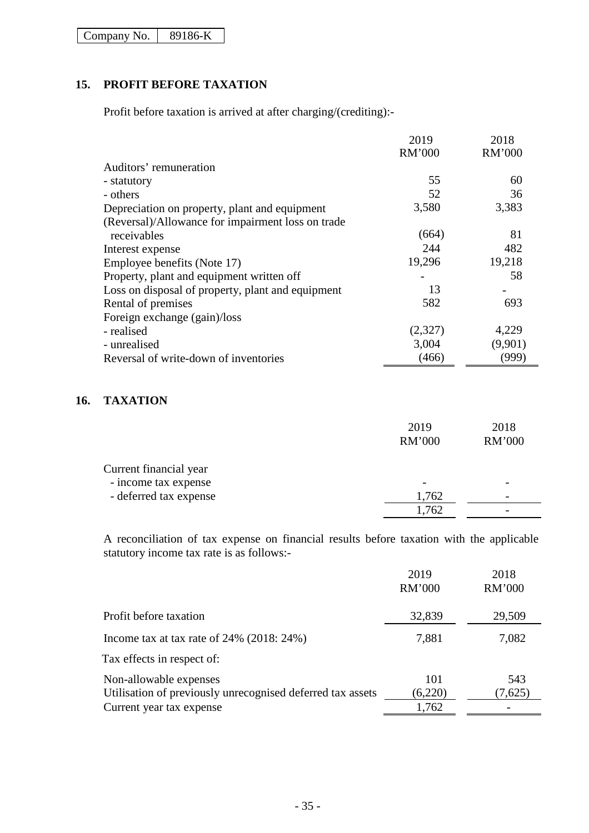| Company No. | 89186-K |
|-------------|---------|
|-------------|---------|

## **15. PROFIT BEFORE TAXATION**

Profit before taxation is arrived at after charging/(crediting):-

|                                                   | 2019    | 2018    |
|---------------------------------------------------|---------|---------|
|                                                   | RM'000  | RM'000  |
| Auditors' remuneration                            |         |         |
| - statutory                                       | 55      | 60      |
| - others                                          | 52      | 36      |
| Depreciation on property, plant and equipment     | 3,580   | 3,383   |
| (Reversal)/Allowance for impairment loss on trade |         |         |
| receivables                                       | (664)   | 81      |
| Interest expense                                  | 244     | 482     |
| Employee benefits (Note 17)                       | 19,296  | 19,218  |
| Property, plant and equipment written off         |         | 58      |
| Loss on disposal of property, plant and equipment | 13      |         |
| Rental of premises                                | 582     | 693     |
| Foreign exchange (gain)/loss                      |         |         |
| - realised                                        | (2,327) | 4,229   |
| - unrealised                                      | 3,004   | (9,901) |
| Reversal of write-down of inventories             | (466)   | (999)   |

# **16. TAXATION**

|                        | 2019<br>RM'000 | 2018<br>RM'000 |
|------------------------|----------------|----------------|
| Current financial year |                |                |
| - income tax expense   |                |                |
| - deferred tax expense | 1,762          |                |
|                        | 1,762          |                |

A reconciliation of tax expense on financial results before taxation with the applicable statutory income tax rate is as follows:-

|                                                            | 2019<br>RM'000 | 2018<br>RM'000 |
|------------------------------------------------------------|----------------|----------------|
| Profit before taxation                                     | 32,839         | 29,509         |
| Income tax at tax rate of $24\%$ (2018: 24%)               | 7,881          | 7,082          |
| Tax effects in respect of:                                 |                |                |
| Non-allowable expenses                                     | 101            | 543            |
| Utilisation of previously unrecognised deferred tax assets | (6,220)        | 7,625          |
| Current year tax expense                                   | 1,762          |                |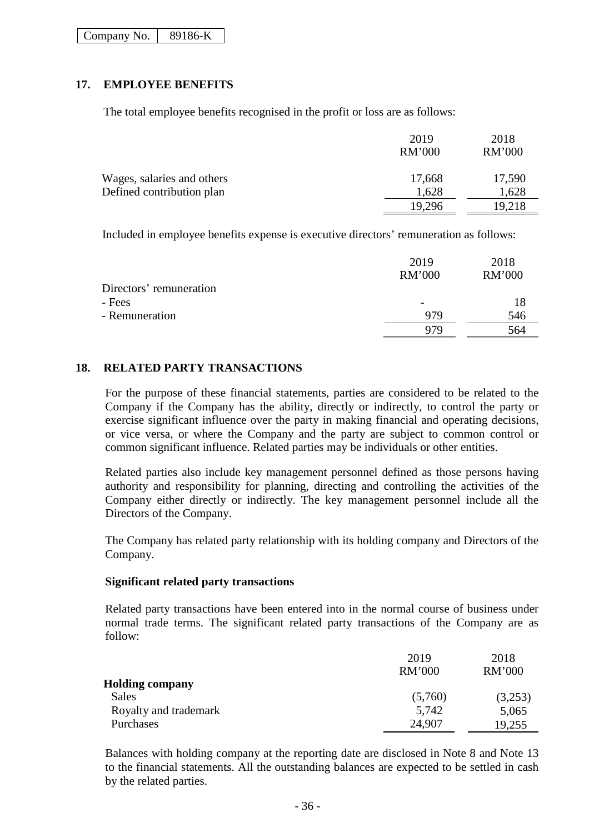### **17. EMPLOYEE BENEFITS**

The total employee benefits recognised in the profit or loss are as follows:

|                            | 2019<br><b>RM'000</b> | 2018<br><b>RM'000</b> |
|----------------------------|-----------------------|-----------------------|
| Wages, salaries and others | 17,668                | 17,590                |
| Defined contribution plan  | 1,628                 | 1,628                 |
|                            | 19,296                | 19,218                |

Included in employee benefits expense is executive directors' remuneration as follows:

|                         | 2019<br>RM'000 | 2018<br>RM'000 |
|-------------------------|----------------|----------------|
| Directors' remuneration |                |                |
| - Fees                  |                | 18             |
| - Remuneration          | 979            | 546            |
|                         | 979            | 564            |
|                         |                |                |

### **18. RELATED PARTY TRANSACTIONS**

For the purpose of these financial statements, parties are considered to be related to the Company if the Company has the ability, directly or indirectly, to control the party or exercise significant influence over the party in making financial and operating decisions, or vice versa, or where the Company and the party are subject to common control or common significant influence. Related parties may be individuals or other entities.

Related parties also include key management personnel defined as those persons having authority and responsibility for planning, directing and controlling the activities of the Company either directly or indirectly. The key management personnel include all the Directors of the Company.

The Company has related party relationship with its holding company and Directors of the Company.

#### **Significant related party transactions**

Related party transactions have been entered into in the normal course of business under normal trade terms. The significant related party transactions of the Company are as follow:

|                        | 2019          | 2018    |
|------------------------|---------------|---------|
|                        | <b>RM'000</b> | RM'000  |
| <b>Holding company</b> |               |         |
| <b>Sales</b>           | (5,760)       | (3,253) |
| Royalty and trademark  | 5,742         | 5,065   |
| Purchases              | 24,907        | 19,255  |

Balances with holding company at the reporting date are disclosed in Note 8 and Note 13 to the financial statements. All the outstanding balances are expected to be settled in cash by the related parties.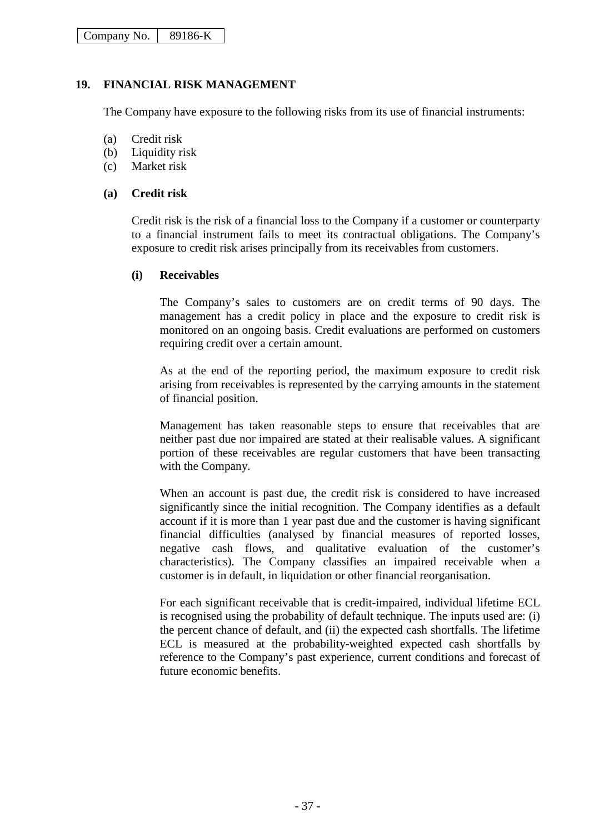### **19. FINANCIAL RISK MANAGEMENT**

The Company have exposure to the following risks from its use of financial instruments:

- (a) Credit risk
- (b) Liquidity risk
- (c) Market risk

### **(a) Credit risk**

Credit risk is the risk of a financial loss to the Company if a customer or counterparty to a financial instrument fails to meet its contractual obligations. The Company's exposure to credit risk arises principally from its receivables from customers.

### **(i) Receivables**

The Company's sales to customers are on credit terms of 90 days. The management has a credit policy in place and the exposure to credit risk is monitored on an ongoing basis. Credit evaluations are performed on customers requiring credit over a certain amount.

As at the end of the reporting period, the maximum exposure to credit risk arising from receivables is represented by the carrying amounts in the statement of financial position.

Management has taken reasonable steps to ensure that receivables that are neither past due nor impaired are stated at their realisable values. A significant portion of these receivables are regular customers that have been transacting with the Company.

When an account is past due, the credit risk is considered to have increased significantly since the initial recognition. The Company identifies as a default account if it is more than 1 year past due and the customer is having significant financial difficulties (analysed by financial measures of reported losses, negative cash flows, and qualitative evaluation of the customer's characteristics). The Company classifies an impaired receivable when a customer is in default, in liquidation or other financial reorganisation.

For each significant receivable that is credit-impaired, individual lifetime ECL is recognised using the probability of default technique. The inputs used are: (i) the percent chance of default, and (ii) the expected cash shortfalls. The lifetime ECL is measured at the probability-weighted expected cash shortfalls by reference to the Company's past experience, current conditions and forecast of future economic benefits.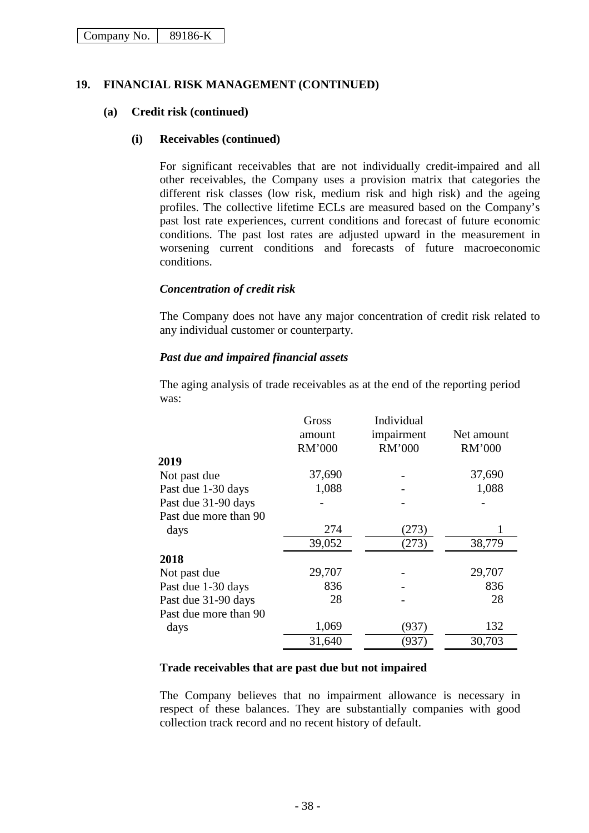#### **19. FINANCIAL RISK MANAGEMENT (CONTINUED)**

#### **(a) Credit risk (continued)**

#### **(i) Receivables (continued)**

For significant receivables that are not individually credit-impaired and all other receivables, the Company uses a provision matrix that categories the different risk classes (low risk, medium risk and high risk) and the ageing profiles. The collective lifetime ECLs are measured based on the Company's past lost rate experiences, current conditions and forecast of future economic conditions. The past lost rates are adjusted upward in the measurement in worsening current conditions and forecasts of future macroeconomic conditions.

#### *Concentration of credit risk*

The Company does not have any major concentration of credit risk related to any individual customer or counterparty.

#### *Past due and impaired financial assets*

The aging analysis of trade receivables as at the end of the reporting period was:

|                       | Gross<br>amount | Individual<br>impairment | Net amount |
|-----------------------|-----------------|--------------------------|------------|
|                       | <b>RM'000</b>   | <b>RM'000</b>            | RM'000     |
| 2019                  |                 |                          |            |
| Not past due          | 37,690          |                          | 37,690     |
| Past due 1-30 days    | 1,088           |                          | 1,088      |
| Past due 31-90 days   |                 |                          |            |
| Past due more than 90 |                 |                          |            |
| days                  | 274             | (273)                    |            |
|                       | 39,052          | (273)                    | 38,779     |
| 2018                  |                 |                          |            |
| Not past due          | 29,707          |                          | 29,707     |
| Past due 1-30 days    | 836             |                          | 836        |
| Past due 31-90 days   | 28              |                          | 28         |
| Past due more than 90 |                 |                          |            |
| days                  | 1,069           | (937)                    | 132        |
|                       | 31,640          | (937)                    | 30,703     |

### **Trade receivables that are past due but not impaired**

The Company believes that no impairment allowance is necessary in respect of these balances. They are substantially companies with good collection track record and no recent history of default.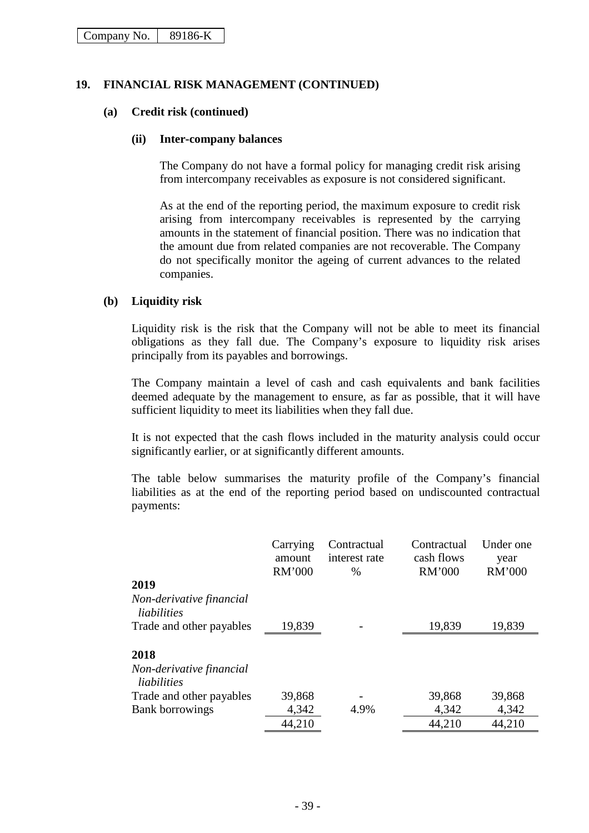### **19. FINANCIAL RISK MANAGEMENT (CONTINUED)**

#### **(a) Credit risk (continued)**

#### **(ii) Inter-company balances**

The Company do not have a formal policy for managing credit risk arising from intercompany receivables as exposure is not considered significant.

As at the end of the reporting period, the maximum exposure to credit risk arising from intercompany receivables is represented by the carrying amounts in the statement of financial position. There was no indication that the amount due from related companies are not recoverable. The Company do not specifically monitor the ageing of current advances to the related companies.

#### **(b) Liquidity risk**

Liquidity risk is the risk that the Company will not be able to meet its financial obligations as they fall due. The Company's exposure to liquidity risk arises principally from its payables and borrowings.

The Company maintain a level of cash and cash equivalents and bank facilities deemed adequate by the management to ensure, as far as possible, that it will have sufficient liquidity to meet its liabilities when they fall due.

It is not expected that the cash flows included in the maturity analysis could occur significantly earlier, or at significantly different amounts.

The table below summarises the maturity profile of the Company's financial liabilities as at the end of the reporting period based on undiscounted contractual payments:

|                                                                             | Carrying<br>amount<br><b>RM'000</b> | Contractual<br>interest rate<br>$\%$ | Contractual<br>cash flows<br><b>RM'000</b> | Under one<br>year<br>RM'000 |
|-----------------------------------------------------------------------------|-------------------------------------|--------------------------------------|--------------------------------------------|-----------------------------|
| 2019                                                                        |                                     |                                      |                                            |                             |
| Non-derivative financial<br>liabilities                                     |                                     |                                      |                                            |                             |
| Trade and other payables                                                    | 19,839                              |                                      | 19,839                                     | 19,839                      |
| 2018<br>Non-derivative financial<br>liabilities<br>Trade and other payables | 39,868                              |                                      | 39,868                                     | 39,868                      |
| <b>Bank borrowings</b>                                                      | 4,342                               | 4.9%                                 | 4,342                                      | 4,342                       |
|                                                                             | 44,210                              |                                      | 44,210                                     | 44,210                      |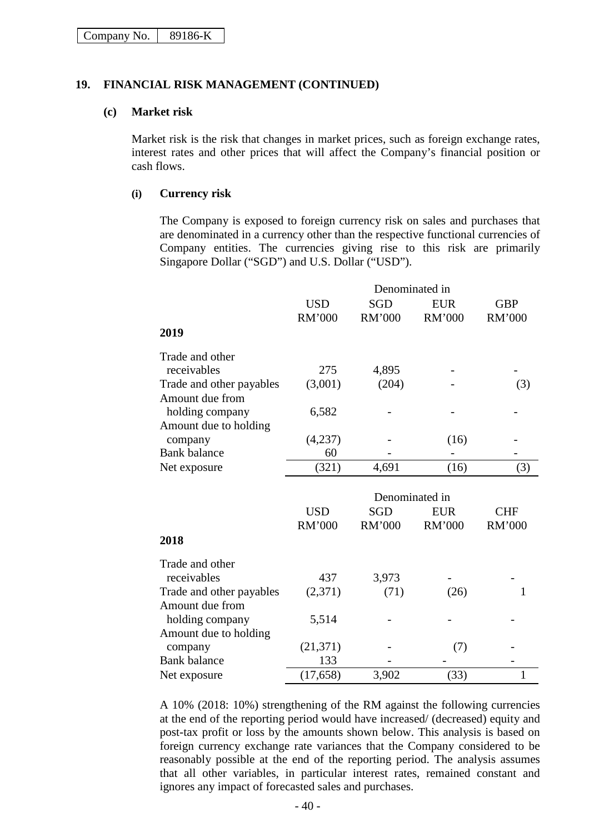#### **19. FINANCIAL RISK MANAGEMENT (CONTINUED)**

#### **(c) Market risk**

Market risk is the risk that changes in market prices, such as foreign exchange rates, interest rates and other prices that will affect the Company's financial position or cash flows.

#### **(i) Currency risk**

The Company is exposed to foreign currency risk on sales and purchases that are denominated in a currency other than the respective functional currencies of Company entities. The currencies giving rise to this risk are primarily Singapore Dollar ("SGD") and U.S. Dollar ("USD").

|                                             | Denominated in |               |            |            |
|---------------------------------------------|----------------|---------------|------------|------------|
|                                             | <b>USD</b>     | <b>SGD</b>    | <b>EUR</b> | <b>GBP</b> |
|                                             | RM'000         | <b>RM'000</b> | RM'000     | RM'000     |
| 2019                                        |                |               |            |            |
| Trade and other                             |                |               |            |            |
| receivables                                 | 275            | 4,895         |            |            |
| Trade and other payables<br>Amount due from | (3,001)        | (204)         |            | (3)        |
| holding company                             | 6,582          |               |            |            |
| Amount due to holding                       |                |               |            |            |
| company                                     | (4,237)        |               | (16)       |            |
| <b>Bank</b> balance                         | 60             |               |            |            |
| Net exposure                                | (321)          | 4,691         | (16)       | (3)        |
|                                             | Denominated in |               |            |            |
|                                             | <b>USD</b>     | <b>SGD</b>    | <b>EUR</b> | <b>CHF</b> |
|                                             |                |               |            |            |
|                                             | RM'000         | <b>RM'000</b> | RM'000     | RM'000     |
| 2018                                        |                |               |            |            |
| Trade and other                             |                |               |            |            |
| receivables                                 | 437            | 3,973         |            |            |
| Trade and other payables                    | (2,371)        | (71)          | (26)       | 1          |
| Amount due from                             |                |               |            |            |
| holding company                             |                |               |            |            |
|                                             | 5,514          |               |            |            |
| Amount due to holding                       |                |               |            |            |
| company                                     | (21, 371)      |               | (7)        |            |
| <b>Bank</b> balance                         | 133            |               |            |            |

A 10% (2018: 10%) strengthening of the RM against the following currencies at the end of the reporting period would have increased/ (decreased) equity and post-tax profit or loss by the amounts shown below. This analysis is based on foreign currency exchange rate variances that the Company considered to be reasonably possible at the end of the reporting period. The analysis assumes that all other variables, in particular interest rates, remained constant and ignores any impact of forecasted sales and purchases.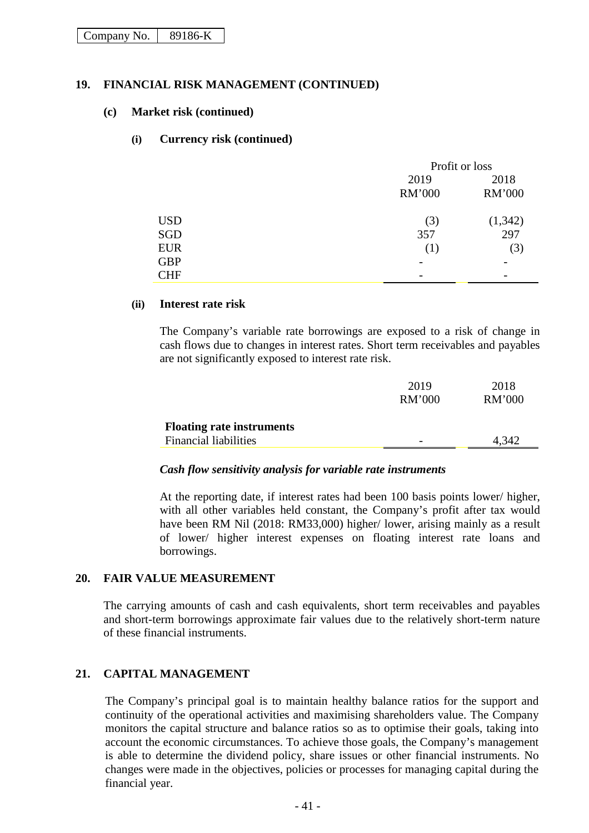#### **19. FINANCIAL RISK MANAGEMENT (CONTINUED)**

#### **(c) Market risk (continued)**

#### **(i) Currency risk (continued)**

|            |                | Profit or loss        |  |
|------------|----------------|-----------------------|--|
|            | 2019<br>RM'000 | 2018<br><b>RM'000</b> |  |
| <b>USD</b> | (3)            | (1, 342)              |  |
| <b>SGD</b> | 357            | 297                   |  |
| <b>EUR</b> | (1)            | (3)                   |  |
| <b>GBP</b> | -              |                       |  |
| CHF        | -              |                       |  |

#### **(ii) Interest rate risk**

The Company's variable rate borrowings are exposed to a risk of change in cash flows due to changes in interest rates. Short term receivables and payables are not significantly exposed to interest rate risk.

|                                  | 2019   | 2018   |
|----------------------------------|--------|--------|
|                                  | RM'000 | RM'000 |
|                                  |        |        |
| <b>Floating rate instruments</b> |        |        |
| <b>Financial liabilities</b>     |        | 4,342  |

### *Cash flow sensitivity analysis for variable rate instruments*

At the reporting date, if interest rates had been 100 basis points lower/ higher, with all other variables held constant, the Company's profit after tax would have been RM Nil (2018: RM33,000) higher/ lower, arising mainly as a result of lower/ higher interest expenses on floating interest rate loans and borrowings.

### **20. FAIR VALUE MEASUREMENT**

The carrying amounts of cash and cash equivalents, short term receivables and payables and short-term borrowings approximate fair values due to the relatively short-term nature of these financial instruments.

### **21. CAPITAL MANAGEMENT**

The Company's principal goal is to maintain healthy balance ratios for the support and continuity of the operational activities and maximising shareholders value. The Company monitors the capital structure and balance ratios so as to optimise their goals, taking into account the economic circumstances. To achieve those goals, the Company's management is able to determine the dividend policy, share issues or other financial instruments. No changes were made in the objectives, policies or processes for managing capital during the financial year.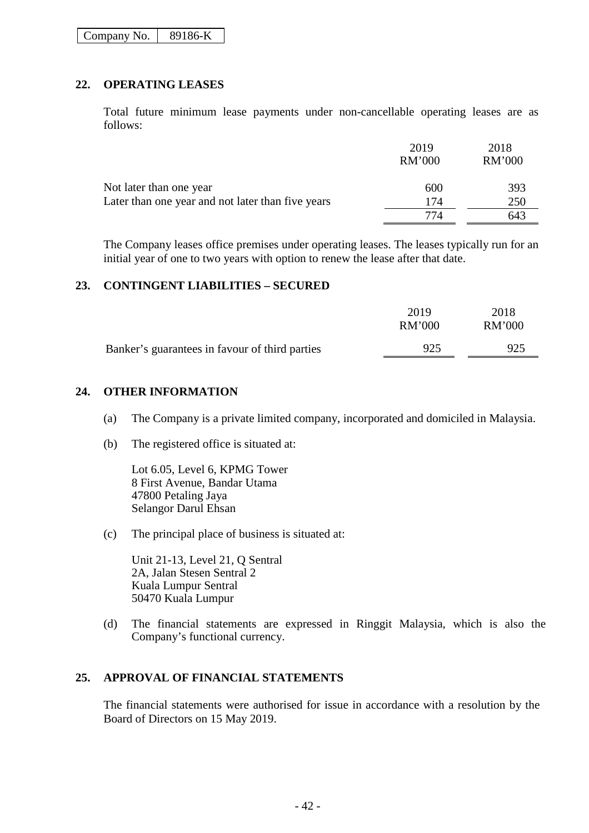### **22. OPERATING LEASES**

Total future minimum lease payments under non-cancellable operating leases are as follows:

|                                                   | 2019<br><b>RM'000</b> | 2018<br>RM'000 |
|---------------------------------------------------|-----------------------|----------------|
| Not later than one year                           | 600                   | 393            |
| Later than one year and not later than five years | 174                   | 250            |
|                                                   | 774                   | 643            |

The Company leases office premises under operating leases. The leases typically run for an initial year of one to two years with option to renew the lease after that date.

### **23. CONTINGENT LIABILITIES – SECURED**

|                                                | 2019<br>RM'000 | 2018<br><b>RM'000</b> |
|------------------------------------------------|----------------|-----------------------|
| Banker's guarantees in favour of third parties | 925            | 925                   |

#### **24. OTHER INFORMATION**

- (a) The Company is a private limited company, incorporated and domiciled in Malaysia.
- (b) The registered office is situated at:

Lot 6.05, Level 6, KPMG Tower 8 First Avenue, Bandar Utama 47800 Petaling Jaya Selangor Darul Ehsan

(c) The principal place of business is situated at:

Unit 21-13, Level 21, Q Sentral 2A, Jalan Stesen Sentral 2 Kuala Lumpur Sentral 50470 Kuala Lumpur

(d) The financial statements are expressed in Ringgit Malaysia, which is also the Company's functional currency.

### **25. APPROVAL OF FINANCIAL STATEMENTS**

The financial statements were authorised for issue in accordance with a resolution by the Board of Directors on 15 May 2019.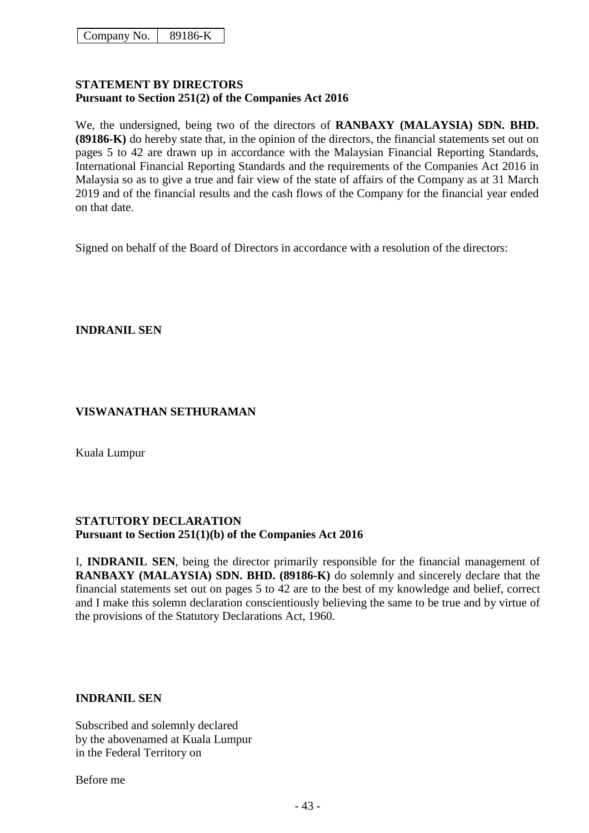### **STATEMENT BY DIRECTORS Pursuant to Section 251(2) of the Companies Act 2016**

We, the undersigned, being two of the directors of **RANBAXY (MALAYSIA) SDN. BHD. (89186-K)** do hereby state that, in the opinion of the directors, the financial statements set out on pages 5 to 42 are drawn up in accordance with the Malaysian Financial Reporting Standards, International Financial Reporting Standards and the requirements of the Companies Act 2016 in Malaysia so as to give a true and fair view of the state of affairs of the Company as at 31 March 2019 and of the financial results and the cash flows of the Company for the financial year ended on that date.

Signed on behalf of the Board of Directors in accordance with a resolution of the directors:

**INDRANIL SEN** 

# **VISWANATHAN SETHURAMAN**

Kuala Lumpur

### **STATUTORY DECLARATION Pursuant to Section 251(1)(b) of the Companies Act 2016**

I, **INDRANIL SEN**, being the director primarily responsible for the financial management of **RANBAXY (MALAYSIA) SDN. BHD. (89186-K)** do solemnly and sincerely declare that the financial statements set out on pages 5 to 42 are to the best of my knowledge and belief, correct and I make this solemn declaration conscientiously believing the same to be true and by virtue of the provisions of the Statutory Declarations Act, 1960.

## **INDRANIL SEN**

Subscribed and solemnly declared by the abovenamed at Kuala Lumpur in the Federal Territory on

Before me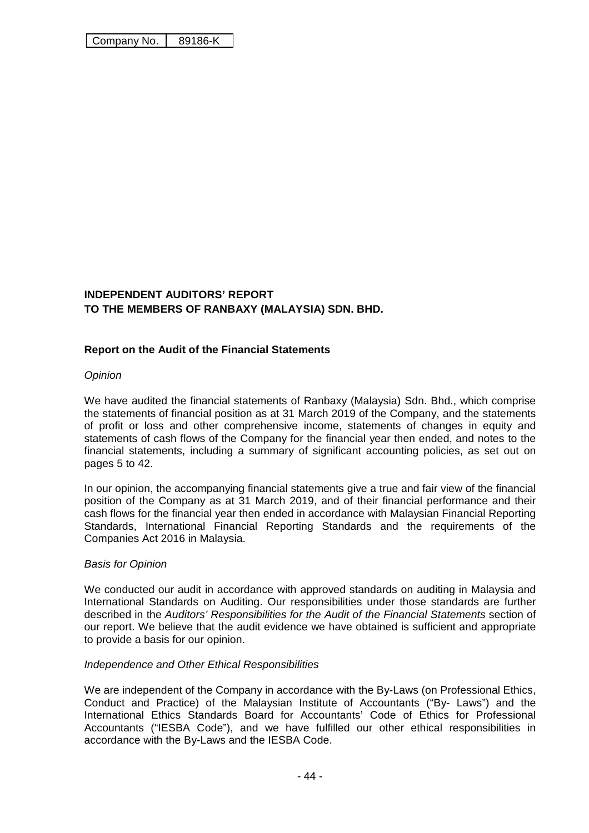### **INDEPENDENT AUDITORS' REPORT TO THE MEMBERS OF RANBAXY (MALAYSIA) SDN. BHD.**

### **Report on the Audit of the Financial Statements**

### **Opinion**

We have audited the financial statements of Ranbaxy (Malaysia) Sdn. Bhd., which comprise the statements of financial position as at 31 March 2019 of the Company, and the statements of profit or loss and other comprehensive income, statements of changes in equity and statements of cash flows of the Company for the financial year then ended, and notes to the financial statements, including a summary of significant accounting policies, as set out on pages 5 to 42.

In our opinion, the accompanying financial statements give a true and fair view of the financial position of the Company as at 31 March 2019, and of their financial performance and their cash flows for the financial year then ended in accordance with Malaysian Financial Reporting Standards, International Financial Reporting Standards and the requirements of the Companies Act 2016 in Malaysia.

#### Basis for Opinion

We conducted our audit in accordance with approved standards on auditing in Malaysia and International Standards on Auditing. Our responsibilities under those standards are further described in the Auditors' Responsibilities for the Audit of the Financial Statements section of our report. We believe that the audit evidence we have obtained is sufficient and appropriate to provide a basis for our opinion.

#### Independence and Other Ethical Responsibilities

We are independent of the Company in accordance with the By-Laws (on Professional Ethics, Conduct and Practice) of the Malaysian Institute of Accountants ("By- Laws") and the International Ethics Standards Board for Accountants' Code of Ethics for Professional Accountants ("IESBA Code"), and we have fulfilled our other ethical responsibilities in accordance with the By-Laws and the IESBA Code.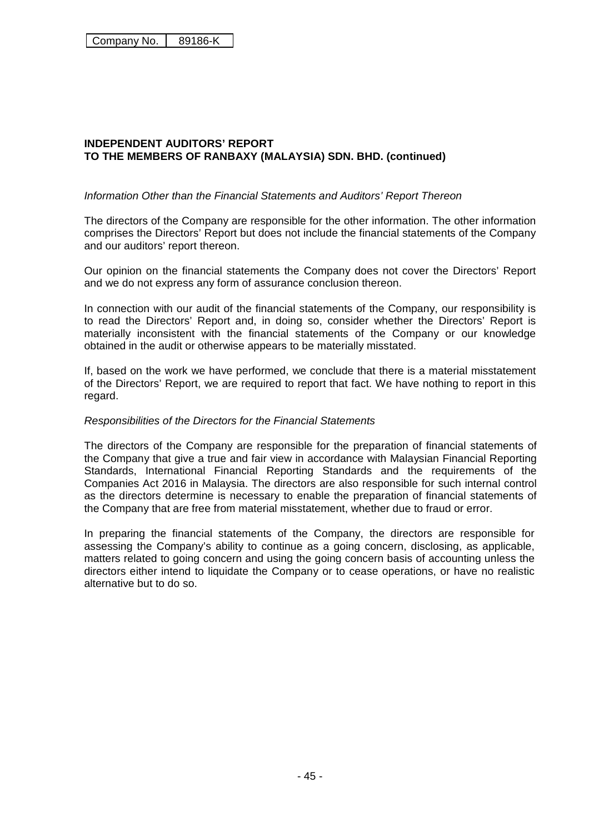### **INDEPENDENT AUDITORS' REPORT TO THE MEMBERS OF RANBAXY (MALAYSIA) SDN. BHD. (continued)**

#### Information Other than the Financial Statements and Auditors' Report Thereon

The directors of the Company are responsible for the other information. The other information comprises the Directors' Report but does not include the financial statements of the Company and our auditors' report thereon.

Our opinion on the financial statements the Company does not cover the Directors' Report and we do not express any form of assurance conclusion thereon.

In connection with our audit of the financial statements of the Company, our responsibility is to read the Directors' Report and, in doing so, consider whether the Directors' Report is materially inconsistent with the financial statements of the Company or our knowledge obtained in the audit or otherwise appears to be materially misstated.

If, based on the work we have performed, we conclude that there is a material misstatement of the Directors' Report, we are required to report that fact. We have nothing to report in this regard.

#### Responsibilities of the Directors for the Financial Statements

The directors of the Company are responsible for the preparation of financial statements of the Company that give a true and fair view in accordance with Malaysian Financial Reporting Standards, International Financial Reporting Standards and the requirements of the Companies Act 2016 in Malaysia. The directors are also responsible for such internal control as the directors determine is necessary to enable the preparation of financial statements of the Company that are free from material misstatement, whether due to fraud or error.

In preparing the financial statements of the Company, the directors are responsible for assessing the Company's ability to continue as a going concern, disclosing, as applicable, matters related to going concern and using the going concern basis of accounting unless the directors either intend to liquidate the Company or to cease operations, or have no realistic alternative but to do so.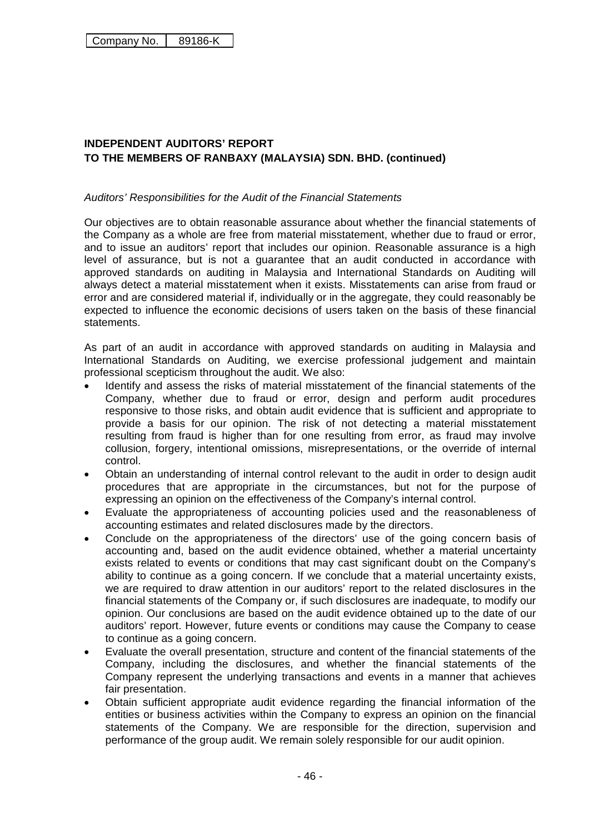# **INDEPENDENT AUDITORS' REPORT TO THE MEMBERS OF RANBAXY (MALAYSIA) SDN. BHD. (continued)**

#### Auditors' Responsibilities for the Audit of the Financial Statements

Our objectives are to obtain reasonable assurance about whether the financial statements of the Company as a whole are free from material misstatement, whether due to fraud or error, and to issue an auditors' report that includes our opinion. Reasonable assurance is a high level of assurance, but is not a guarantee that an audit conducted in accordance with approved standards on auditing in Malaysia and International Standards on Auditing will always detect a material misstatement when it exists. Misstatements can arise from fraud or error and are considered material if, individually or in the aggregate, they could reasonably be expected to influence the economic decisions of users taken on the basis of these financial statements.

As part of an audit in accordance with approved standards on auditing in Malaysia and International Standards on Auditing, we exercise professional judgement and maintain professional scepticism throughout the audit. We also:

- Identify and assess the risks of material misstatement of the financial statements of the Company, whether due to fraud or error, design and perform audit procedures responsive to those risks, and obtain audit evidence that is sufficient and appropriate to provide a basis for our opinion. The risk of not detecting a material misstatement resulting from fraud is higher than for one resulting from error, as fraud may involve collusion, forgery, intentional omissions, misrepresentations, or the override of internal control.
- Obtain an understanding of internal control relevant to the audit in order to design audit procedures that are appropriate in the circumstances, but not for the purpose of expressing an opinion on the effectiveness of the Company's internal control.
- Evaluate the appropriateness of accounting policies used and the reasonableness of accounting estimates and related disclosures made by the directors.
- Conclude on the appropriateness of the directors' use of the going concern basis of accounting and, based on the audit evidence obtained, whether a material uncertainty exists related to events or conditions that may cast significant doubt on the Company's ability to continue as a going concern. If we conclude that a material uncertainty exists, we are required to draw attention in our auditors' report to the related disclosures in the financial statements of the Company or, if such disclosures are inadequate, to modify our opinion. Our conclusions are based on the audit evidence obtained up to the date of our auditors' report. However, future events or conditions may cause the Company to cease to continue as a going concern.
- Evaluate the overall presentation, structure and content of the financial statements of the Company, including the disclosures, and whether the financial statements of the Company represent the underlying transactions and events in a manner that achieves fair presentation.
- Obtain sufficient appropriate audit evidence regarding the financial information of the entities or business activities within the Company to express an opinion on the financial statements of the Company. We are responsible for the direction, supervision and performance of the group audit. We remain solely responsible for our audit opinion.